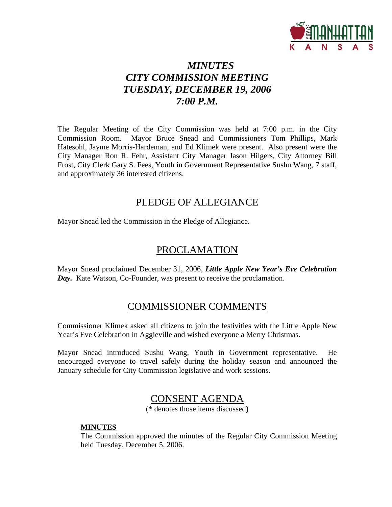

# *MINUTES CITY COMMISSION MEETING TUESDAY, DECEMBER 19, 2006 7:00 P.M.*

The Regular Meeting of the City Commission was held at 7:00 p.m. in the City Commission Room. Mayor Bruce Snead and Commissioners Tom Phillips, Mark Hatesohl, Jayme Morris-Hardeman, and Ed Klimek were present. Also present were the City Manager Ron R. Fehr, Assistant City Manager Jason Hilgers, City Attorney Bill Frost, City Clerk Gary S. Fees, Youth in Government Representative Sushu Wang, 7 staff, and approximately 36 interested citizens.

# PLEDGE OF ALLEGIANCE

Mayor Snead led the Commission in the Pledge of Allegiance.

# PROCLAMATION

Mayor Snead proclaimed December 31, 2006, *Little Apple New Year's Eve Celebration Day.* Kate Watson, Co-Founder, was present to receive the proclamation.

# COMMISSIONER COMMENTS

Commissioner Klimek asked all citizens to join the festivities with the Little Apple New Year's Eve Celebration in Aggieville and wished everyone a Merry Christmas.

Mayor Snead introduced Sushu Wang, Youth in Government representative. He encouraged everyone to travel safely during the holiday season and announced the January schedule for City Commission legislative and work sessions.

# CONSENT AGENDA

(\* denotes those items discussed)

#### **MINUTES**

The Commission approved the minutes of the Regular City Commission Meeting held Tuesday, December 5, 2006.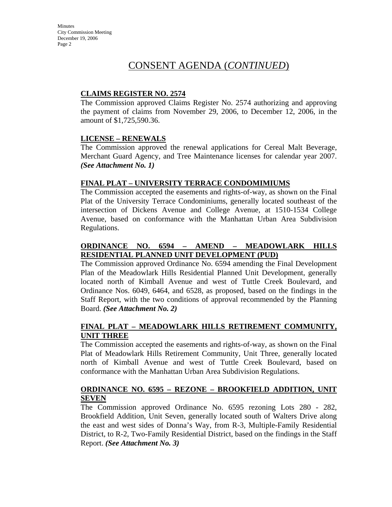# CONSENT AGENDA (*CONTINUED*)

# **CLAIMS REGISTER NO. 2574**

The Commission approved Claims Register No. 2574 authorizing and approving the payment of claims from November 29, 2006, to December 12, 2006, in the amount of \$1,725,590.36.

# **LICENSE – RENEWALS**

The Commission approved the renewal applications for Cereal Malt Beverage, Merchant Guard Agency, and Tree Maintenance licenses for calendar year 2007. *(See Attachment No. 1)*

### **FINAL PLAT – UNIVERSITY TERRACE CONDOMIMIUMS**

The Commission accepted the easements and rights-of-way, as shown on the Final Plat of the University Terrace Condominiums, generally located southeast of the intersection of Dickens Avenue and College Avenue, at 1510-1534 College Avenue, based on conformance with the Manhattan Urban Area Subdivision Regulations.

# **ORDINANCE NO. 6594 – AMEND – MEADOWLARK HILLS RESIDENTIAL PLANNED UNIT DEVELOPMENT (PUD)**

The Commission approved Ordinance No. 6594 amending the Final Development Plan of the Meadowlark Hills Residential Planned Unit Development, generally located north of Kimball Avenue and west of Tuttle Creek Boulevard, and Ordinance Nos. 6049, 6464, and 6528, as proposed, based on the findings in the Staff Report, with the two conditions of approval recommended by the Planning Board. *(See Attachment No. 2)*

# **FINAL PLAT – MEADOWLARK HILLS RETIREMENT COMMUNITY, UNIT THREE**

The Commission accepted the easements and rights-of-way, as shown on the Final Plat of Meadowlark Hills Retirement Community, Unit Three, generally located north of Kimball Avenue and west of Tuttle Creek Boulevard, based on conformance with the Manhattan Urban Area Subdivision Regulations.

### **ORDINANCE NO. 6595 – REZONE – BROOKFIELD ADDITION, UNIT SEVEN**

The Commission approved Ordinance No. 6595 rezoning Lots 280 - 282, Brookfield Addition, Unit Seven, generally located south of Walters Drive along the east and west sides of Donna's Way, from R-3, Multiple-Family Residential District, to R-2, Two-Family Residential District, based on the findings in the Staff Report. *(See Attachment No. 3)*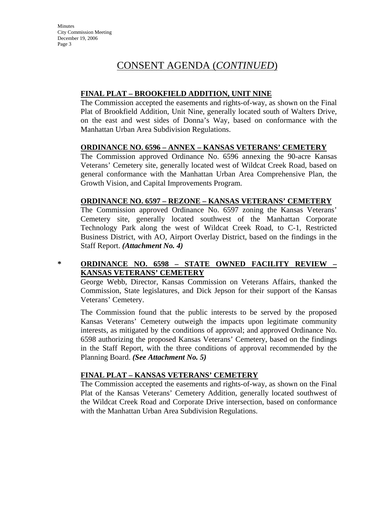# CONSENT AGENDA (*CONTINUED*)

# **FINAL PLAT – BROOKFIELD ADDITION, UNIT NINE**

The Commission accepted the easements and rights-of-way, as shown on the Final Plat of Brookfield Addition, Unit Nine, generally located south of Walters Drive, on the east and west sides of Donna's Way, based on conformance with the Manhattan Urban Area Subdivision Regulations.

### **ORDINANCE NO. 6596 – ANNEX – KANSAS VETERANS' CEMETERY**

The Commission approved Ordinance No. 6596 annexing the 90-acre Kansas Veterans' Cemetery site, generally located west of Wildcat Creek Road, based on general conformance with the Manhattan Urban Area Comprehensive Plan, the Growth Vision, and Capital Improvements Program.

### **ORDINANCE NO. 6597 – REZONE – KANSAS VETERANS' CEMETERY**

The Commission approved Ordinance No. 6597 zoning the Kansas Veterans' Cemetery site, generally located southwest of the Manhattan Corporate Technology Park along the west of Wildcat Creek Road, to C-1, Restricted Business District, with AO, Airport Overlay District, based on the findings in the Staff Report. *(Attachment No. 4)* 

# **\* ORDINANCE NO. 6598 – STATE OWNED FACILITY REVIEW – KANSAS VETERANS' CEMETERY**

George Webb, Director, Kansas Commission on Veterans Affairs, thanked the Commission, State legislatures, and Dick Jepson for their support of the Kansas Veterans' Cemetery.

The Commission found that the public interests to be served by the proposed Kansas Veterans' Cemetery outweigh the impacts upon legitimate community interests, as mitigated by the conditions of approval; and approved Ordinance No. 6598 authorizing the proposed Kansas Veterans' Cemetery, based on the findings in the Staff Report, with the three conditions of approval recommended by the Planning Board. *(See Attachment No. 5)* 

#### **FINAL PLAT – KANSAS VETERANS' CEMETERY**

The Commission accepted the easements and rights-of-way, as shown on the Final Plat of the Kansas Veterans' Cemetery Addition, generally located southwest of the Wildcat Creek Road and Corporate Drive intersection, based on conformance with the Manhattan Urban Area Subdivision Regulations.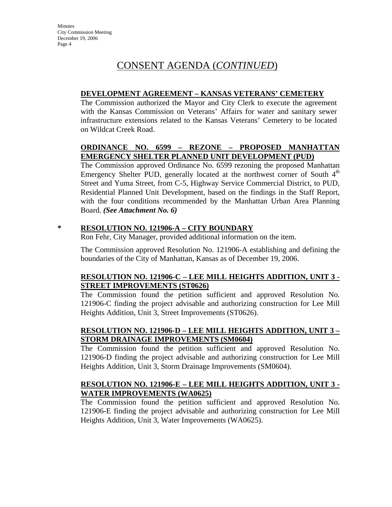# **DEVELOPMENT AGREEMENT – KANSAS VETERANS' CEMETERY**

The Commission authorized the Mayor and City Clerk to execute the agreement with the Kansas Commission on Veterans' Affairs for water and sanitary sewer infrastructure extensions related to the Kansas Veterans' Cemetery to be located on Wildcat Creek Road.

# **ORDINANCE NO. 6599 – REZONE – PROPOSED MANHATTAN EMERGENCY SHELTER PLANNED UNIT DEVELOPMENT (PUD)**

The Commission approved Ordinance No. 6599 rezoning the proposed Manhattan Emergency Shelter PUD, generally located at the northwest corner of South  $4<sup>th</sup>$ Street and Yuma Street, from C-5, Highway Service Commercial District, to PUD, Residential Planned Unit Development, based on the findings in the Staff Report, with the four conditions recommended by the Manhattan Urban Area Planning Board. *(See Attachment No. 6)*

# **\* RESOLUTION NO. 121906-A – CITY BOUNDARY**

Ron Fehr, City Manager, provided additional information on the item.

The Commission approved Resolution No. 121906-A establishing and defining the boundaries of the City of Manhattan, Kansas as of December 19, 2006.

# **RESOLUTION NO. 121906-C – LEE MILL HEIGHTS ADDITION, UNIT 3 - STREET IMPROVEMENTS (ST0626)**

The Commission found the petition sufficient and approved Resolution No. 121906-C finding the project advisable and authorizing construction for Lee Mill Heights Addition, Unit 3, Street Improvements (ST0626).

# **RESOLUTION NO. 121906-D – LEE MILL HEIGHTS ADDITION, UNIT 3 – STORM DRAINAGE IMPROVEMENTS (SM0604)**

The Commission found the petition sufficient and approved Resolution No. 121906-D finding the project advisable and authorizing construction for Lee Mill Heights Addition, Unit 3, Storm Drainage Improvements (SM0604).

# **RESOLUTION NO. 121906-E – LEE MILL HEIGHTS ADDITION, UNIT 3 - WATER IMPROVEMENTS (WA0625)**

The Commission found the petition sufficient and approved Resolution No. 121906-E finding the project advisable and authorizing construction for Lee Mill Heights Addition, Unit 3, Water Improvements (WA0625).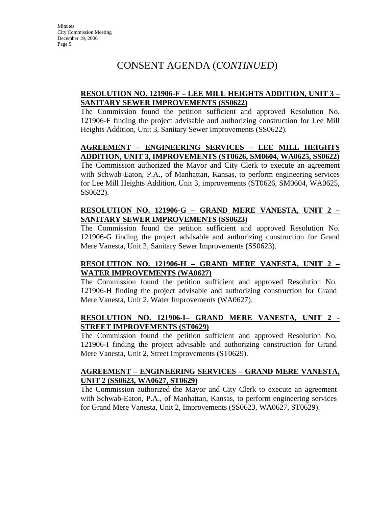# **RESOLUTION NO. 121906-F – LEE MILL HEIGHTS ADDITION, UNIT 3 – SANITARY SEWER IMPROVEMENTS (SS0622)**

The Commission found the petition sufficient and approved Resolution No. 121906-F finding the project advisable and authorizing construction for Lee Mill Heights Addition, Unit 3, Sanitary Sewer Improvements (SS0622).

# **AGREEMENT – ENGINEERING SERVICES – LEE MILL HEIGHTS ADDITION, UNIT 3, IMPROVEMENTS (ST0626, SM0604, WA0625, SS0622)**

The Commission authorized the Mayor and City Clerk to execute an agreement with Schwab-Eaton, P.A., of Manhattan, Kansas, to perform engineering services for Lee Mill Heights Addition, Unit 3, improvements (ST0626, SM0604, WA0625, SS0622).

# **RESOLUTION NO. 121906-G – GRAND MERE VANESTA, UNIT 2 – SANITARY SEWER IMPROVEMENTS (SS0623)**

The Commission found the petition sufficient and approved Resolution No. 121906-G finding the project advisable and authorizing construction for Grand Mere Vanesta, Unit 2, Sanitary Sewer Improvements (SS0623).

# **RESOLUTION NO. 121906-H – GRAND MERE VANESTA, UNIT 2 – WATER IMPROVEMENTS (WA0627)**

The Commission found the petition sufficient and approved Resolution No. 121906-H finding the project advisable and authorizing construction for Grand Mere Vanesta, Unit 2, Water Improvements (WA0627).

# **RESOLUTION NO. 121906-I– GRAND MERE VANESTA, UNIT 2 - STREET IMPROVEMENTS (ST0629)**

The Commission found the petition sufficient and approved Resolution No. 121906-I finding the project advisable and authorizing construction for Grand Mere Vanesta, Unit 2, Street Improvements (ST0629).

# **AGREEMENT – ENGINEERING SERVICES – GRAND MERE VANESTA, UNIT 2 (SS0623, WA0627, ST0629)**

The Commission authorized the Mayor and City Clerk to execute an agreement with Schwab-Eaton, P.A., of Manhattan, Kansas, to perform engineering services for Grand Mere Vanesta, Unit 2, Improvements (SS0623, WA0627, ST0629).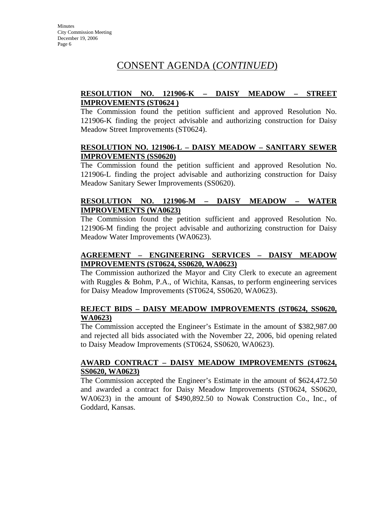# **RESOLUTION NO. 121906-K – DAISY MEADOW – STREET IMPROVEMENTS (ST0624 )**

The Commission found the petition sufficient and approved Resolution No. 121906-K finding the project advisable and authorizing construction for Daisy Meadow Street Improvements (ST0624).

# **RESOLUTION NO. 121906-L – DAISY MEADOW – SANITARY SEWER IMPROVEMENTS (SS0620)**

The Commission found the petition sufficient and approved Resolution No. 121906-L finding the project advisable and authorizing construction for Daisy Meadow Sanitary Sewer Improvements (SS0620).

# **RESOLUTION NO. 121906-M – DAISY MEADOW – WATER IMPROVEMENTS (WA0623)**

The Commission found the petition sufficient and approved Resolution No. 121906-M finding the project advisable and authorizing construction for Daisy Meadow Water Improvements (WA0623).

# **AGREEMENT – ENGINEERING SERVICES – DAISY MEADOW IMPROVEMENTS (ST0624, SS0620, WA0623)**

The Commission authorized the Mayor and City Clerk to execute an agreement with Ruggles & Bohm, P.A., of Wichita, Kansas, to perform engineering services for Daisy Meadow Improvements (ST0624, SS0620, WA0623).

# **REJECT BIDS – DAISY MEADOW IMPROVEMENTS (ST0624, SS0620, WA0623)**

The Commission accepted the Engineer's Estimate in the amount of \$382,987.00 and rejected all bids associated with the November 22, 2006, bid opening related to Daisy Meadow Improvements (ST0624, SS0620, WA0623).

# **AWARD CONTRACT – DAISY MEADOW IMPROVEMENTS (ST0624, SS0620, WA0623)**

The Commission accepted the Engineer's Estimate in the amount of \$624,472.50 and awarded a contract for Daisy Meadow Improvements (ST0624, SS0620, WA0623) in the amount of \$490,892.50 to Nowak Construction Co., Inc., of Goddard, Kansas.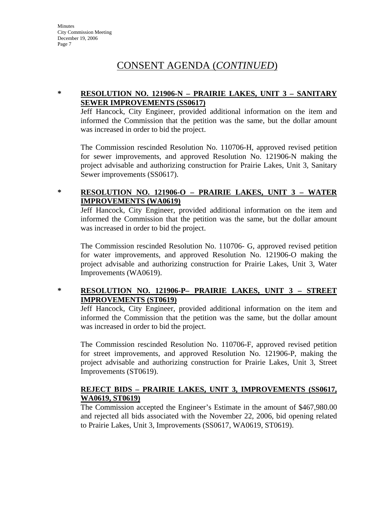# CONSENT AGENDA (*CONTINUED*)

# **\* RESOLUTION NO. 121906-N – PRAIRIE LAKES, UNIT 3 – SANITARY SEWER IMPROVEMENTS (SS0617)**

Jeff Hancock, City Engineer, provided additional information on the item and informed the Commission that the petition was the same, but the dollar amount was increased in order to bid the project.

The Commission rescinded Resolution No. 110706-H, approved revised petition for sewer improvements, and approved Resolution No. 121906-N making the project advisable and authorizing construction for Prairie Lakes, Unit 3, Sanitary Sewer improvements (SS0617).

# **\* RESOLUTION NO. 121906-O – PRAIRIE LAKES, UNIT 3 – WATER IMPROVEMENTS (WA0619)**

Jeff Hancock, City Engineer, provided additional information on the item and informed the Commission that the petition was the same, but the dollar amount was increased in order to bid the project.

The Commission rescinded Resolution No. 110706- G, approved revised petition for water improvements, and approved Resolution No. 121906-O making the project advisable and authorizing construction for Prairie Lakes, Unit 3, Water Improvements (WA0619).

# **\* RESOLUTION NO. 121906-P– PRAIRIE LAKES, UNIT 3 – STREET IMPROVEMENTS (ST0619)**

Jeff Hancock, City Engineer, provided additional information on the item and informed the Commission that the petition was the same, but the dollar amount was increased in order to bid the project.

The Commission rescinded Resolution No. 110706-F, approved revised petition for street improvements, and approved Resolution No. 121906-P, making the project advisable and authorizing construction for Prairie Lakes, Unit 3, Street Improvements (ST0619).

### **REJECT BIDS – PRAIRIE LAKES, UNIT 3, IMPROVEMENTS (SS0617, WA0619, ST0619)**

The Commission accepted the Engineer's Estimate in the amount of \$467,980.00 and rejected all bids associated with the November 22, 2006, bid opening related to Prairie Lakes, Unit 3, Improvements (SS0617, WA0619, ST0619).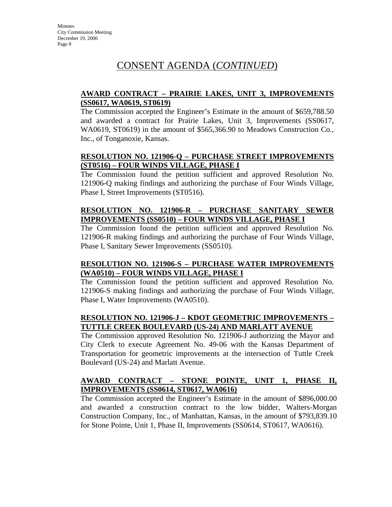# **AWARD CONTRACT – PRAIRIE LAKES, UNIT 3, IMPROVEMENTS (SS0617, WA0619, ST0619)**

The Commission accepted the Engineer's Estimate in the amount of \$659,788.50 and awarded a contract for Prairie Lakes, Unit 3, Improvements (SS0617, WA0619, ST0619) in the amount of \$565,366.90 to Meadows Construction Co., Inc., of Tonganoxie, Kansas.

# **RESOLUTION NO. 121906-Q – PURCHASE STREET IMPROVEMENTS (ST0516) – FOUR WINDS VILLAGE, PHASE I**

The Commission found the petition sufficient and approved Resolution No. 121906-Q making findings and authorizing the purchase of Four Winds Village, Phase I, Street Improvements (ST0516).

# **RESOLUTION NO. 121906-R – PURCHASE SANITARY SEWER IMPROVEMENTS (SS0510) – FOUR WINDS VILLAGE, PHASE I**

The Commission found the petition sufficient and approved Resolution No. 121906-R making findings and authorizing the purchase of Four Winds Village, Phase I, Sanitary Sewer Improvements (SS0510).

# **RESOLUTION NO. 121906-S – PURCHASE WATER IMPROVEMENTS (WA0510) – FOUR WINDS VILLAGE, PHASE I**

The Commission found the petition sufficient and approved Resolution No. 121906-S making findings and authorizing the purchase of Four Winds Village, Phase I, Water Improvements (WA0510).

# **RESOLUTION NO. 121906-J – KDOT GEOMETRIC IMPROVEMENTS – TUTTLE CREEK BOULEVARD (US-24) AND MARLATT AVENUE**

The Commission approved Resolution No. 121906-J authorizing the Mayor and City Clerk to execute Agreement No. 49-06 with the Kansas Department of Transportation for geometric improvements at the intersection of Tuttle Creek Boulevard (US-24) and Marlatt Avenue.

# **AWARD CONTRACT – STONE POINTE, UNIT 1, PHASE II, IMPROVEMENTS (SS0614, ST0617, WA0616)**

The Commission accepted the Engineer's Estimate in the amount of \$896,000.00 and awarded a construction contract to the low bidder, Walters-Morgan Construction Company, Inc., of Manhattan, Kansas, in the amount of \$793,839.10 for Stone Pointe, Unit 1, Phase II, Improvements (SS0614, ST0617, WA0616).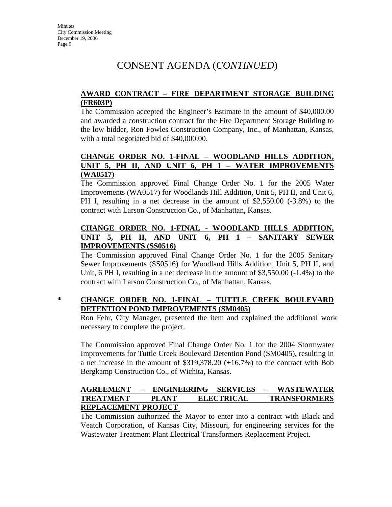# **AWARD CONTRACT – FIRE DEPARTMENT STORAGE BUILDING (FR603P)**

The Commission accepted the Engineer's Estimate in the amount of \$40,000.00 and awarded a construction contract for the Fire Department Storage Building to the low bidder, Ron Fowles Construction Company, Inc., of Manhattan, Kansas, with a total negotiated bid of \$40,000.00.

# **CHANGE ORDER NO. 1-FINAL – WOODLAND HILLS ADDITION, UNIT 5, PH II, AND UNIT 6, PH 1 – WATER IMPROVEMENTS (WA0517)**

The Commission approved Final Change Order No. 1 for the 2005 Water Improvements (WA0517) for Woodlands Hill Addition, Unit 5, PH II, and Unit 6, PH I, resulting in a net decrease in the amount of \$2,550.00 (-3.8%) to the contract with Larson Construction Co., of Manhattan, Kansas.

# **CHANGE ORDER NO. 1-FINAL - WOODLAND HILLS ADDITION, UNIT 5, PH II, AND UNIT 6, PH 1 – SANITARY SEWER IMPROVEMENTS (SS0516)**

The Commission approved Final Change Order No. 1 for the 2005 Sanitary Sewer Improvements (SS0516) for Woodland Hills Addition, Unit 5, PH II, and Unit,  $6$  PH I, resulting in a net decrease in the amount of  $$3,550.00$  ( $-1.4\%$ ) to the contract with Larson Construction Co., of Manhattan, Kansas.

# **\* CHANGE ORDER NO. 1-FINAL – TUTTLE CREEK BOULEVARD DETENTION POND IMPROVEMENTS (SM0405)**

Ron Fehr, City Manager, presented the item and explained the additional work necessary to complete the project.

The Commission approved Final Change Order No. 1 for the 2004 Stormwater Improvements for Tuttle Creek Boulevard Detention Pond (SM0405), resulting in a net increase in the amount of \$319,378.20 (+16.7%) to the contract with Bob Bergkamp Construction Co., of Wichita, Kansas.

# **AGREEMENT – ENGINEERING SERVICES – WASTEWATER TREATMENT PLANT ELECTRICAL TRANSFORMERS REPLACEMENT PROJECT**

The Commission authorized the Mayor to enter into a contract with Black and Veatch Corporation, of Kansas City, Missouri, for engineering services for the Wastewater Treatment Plant Electrical Transformers Replacement Project.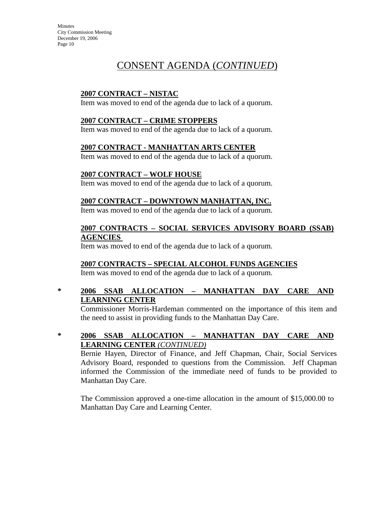# CONSENT AGENDA (*CONTINUED*)

# **2007 CONTRACT – NISTAC**

Item was moved to end of the agenda due to lack of a quorum.

### **2007 CONTRACT – CRIME STOPPERS**

Item was moved to end of the agenda due to lack of a quorum.

#### **2007 CONTRACT - MANHATTAN ARTS CENTER**

Item was moved to end of the agenda due to lack of a quorum.

### **2007 CONTRACT – WOLF HOUSE**

Item was moved to end of the agenda due to lack of a quorum.

### **2007 CONTRACT – DOWNTOWN MANHATTAN, INC.**

Item was moved to end of the agenda due to lack of a quorum.

### **2007 CONTRACTS – SOCIAL SERVICES ADVISORY BOARD (SSAB) AGENCIES**

Item was moved to end of the agenda due to lack of a quorum.

# **2007 CONTRACTS – SPECIAL ALCOHOL FUNDS AGENCIES**

Item was moved to end of the agenda due to lack of a quorum.

# **\* 2006 SSAB ALLOCATION – MANHATTAN DAY CARE AND LEARNING CENTER**

Commissioner Morris-Hardeman commented on the importance of this item and the need to assist in providing funds to the Manhattan Day Care.

# **\* 2006 SSAB ALLOCATION – MANHATTAN DAY CARE AND LEARNING CENTER** *(CONTINUED)*

Bernie Hayen, Director of Finance, and Jeff Chapman, Chair, Social Services Advisory Board, responded to questions from the Commission. Jeff Chapman informed the Commission of the immediate need of funds to be provided to Manhattan Day Care.

The Commission approved a one-time allocation in the amount of \$15,000.00 to Manhattan Day Care and Learning Center.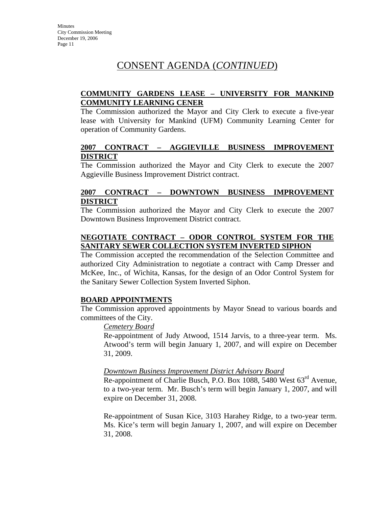# **COMMUNITY GARDENS LEASE – UNIVERSITY FOR MANKIND COMMUNITY LEARNING CENER**

The Commission authorized the Mayor and City Clerk to execute a five-year lease with University for Mankind (UFM) Community Learning Center for operation of Community Gardens.

# **2007 CONTRACT – AGGIEVILLE BUSINESS IMPROVEMENT DISTRICT**

The Commission authorized the Mayor and City Clerk to execute the 2007 Aggieville Business Improvement District contract.

### **2007 CONTRACT – DOWNTOWN BUSINESS IMPROVEMENT DISTRICT**

The Commission authorized the Mayor and City Clerk to execute the 2007 Downtown Business Improvement District contract.

# **NEGOTIATE CONTRACT – ODOR CONTROL SYSTEM FOR THE SANITARY SEWER COLLECTION SYSTEM INVERTED SIPHON**

The Commission accepted the recommendation of the Selection Committee and authorized City Administration to negotiate a contract with Camp Dresser and McKee, Inc., of Wichita, Kansas, for the design of an Odor Control System for the Sanitary Sewer Collection System Inverted Siphon.

# **BOARD APPOINTMENTS**

The Commission approved appointments by Mayor Snead to various boards and committees of the City.

#### *Cemetery Board*

Re-appointment of Judy Atwood, 1514 Jarvis, to a three-year term. Ms. Atwood's term will begin January 1, 2007, and will expire on December 31, 2009.

#### *Downtown Business Improvement District Advisory Board*

Re-appointment of Charlie Busch, P.O. Box 1088, 5480 West 63<sup>rd</sup> Avenue, to a two-year term. Mr. Busch's term will begin January 1, 2007, and will expire on December 31, 2008.

Re-appointment of Susan Kice, 3103 Harahey Ridge, to a two-year term. Ms. Kice's term will begin January 1, 2007, and will expire on December 31, 2008.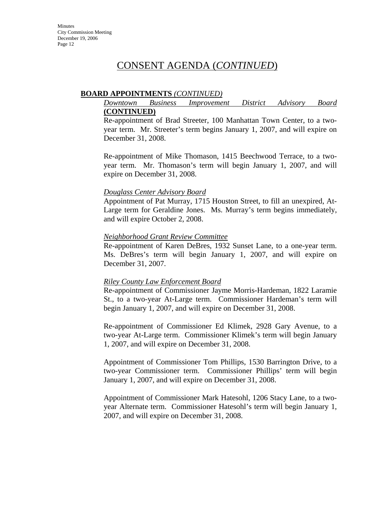#### **BOARD APPOINTMENTS** *(CONTINUED)*

#### *Downtown Business Improvement District Advisory Board* **(CONTINUED)**

Re-appointment of Brad Streeter, 100 Manhattan Town Center, to a twoyear term. Mr. Streeter's term begins January 1, 2007, and will expire on December 31, 2008.

Re-appointment of Mike Thomason, 1415 Beechwood Terrace, to a twoyear term. Mr. Thomason's term will begin January 1, 2007, and will expire on December 31, 2008.

#### *Douglass Center Advisory Board*

Appointment of Pat Murray, 1715 Houston Street, to fill an unexpired, At-Large term for Geraldine Jones. Ms. Murray's term begins immediately, and will expire October 2, 2008.

#### *Neighborhood Grant Review Committee*

Re-appointment of Karen DeBres, 1932 Sunset Lane, to a one-year term. Ms. DeBres's term will begin January 1, 2007, and will expire on December 31, 2007.

#### *Riley County Law Enforcement Board*

Re-appointment of Commissioner Jayme Morris-Hardeman, 1822 Laramie St., to a two-year At-Large term. Commissioner Hardeman's term will begin January 1, 2007, and will expire on December 31, 2008.

Re-appointment of Commissioner Ed Klimek, 2928 Gary Avenue, to a two-year At-Large term. Commissioner Klimek's term will begin January 1, 2007, and will expire on December 31, 2008.

Appointment of Commissioner Tom Phillips, 1530 Barrington Drive, to a two-year Commissioner term. Commissioner Phillips' term will begin January 1, 2007, and will expire on December 31, 2008.

Appointment of Commissioner Mark Hatesohl, 1206 Stacy Lane, to a twoyear Alternate term. Commissioner Hatesohl's term will begin January 1, 2007, and will expire on December 31, 2008.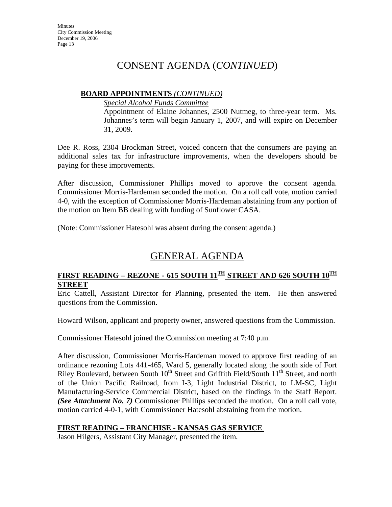# **BOARD APPOINTMENTS** *(CONTINUED)*

*Special Alcohol Funds Committee*

Appointment of Elaine Johannes, 2500 Nutmeg, to three-year term. Ms. Johannes's term will begin January 1, 2007, and will expire on December 31, 2009.

Dee R. Ross, 2304 Brockman Street, voiced concern that the consumers are paying an additional sales tax for infrastructure improvements, when the developers should be paying for these improvements.

After discussion, Commissioner Phillips moved to approve the consent agenda. Commissioner Morris-Hardeman seconded the motion. On a roll call vote, motion carried 4-0, with the exception of Commissioner Morris-Hardeman abstaining from any portion of the motion on Item BB dealing with funding of Sunflower CASA.

(Note: Commissioner Hatesohl was absent during the consent agenda.)

# GENERAL AGENDA

# FIRST READING – REZONE - 615 SOUTH 11<sup>TH</sup> STREET AND 626 SOUTH 10<sup>TH</sup> **STREET**

Eric Cattell, Assistant Director for Planning, presented the item. He then answered questions from the Commission.

Howard Wilson, applicant and property owner, answered questions from the Commission.

Commissioner Hatesohl joined the Commission meeting at 7:40 p.m.

After discussion, Commissioner Morris-Hardeman moved to approve first reading of an ordinance rezoning Lots 441-465, Ward 5, generally located along the south side of Fort Riley Boulevard, between South 10<sup>th</sup> Street and Griffith Field/South 11<sup>th</sup> Street, and north of the Union Pacific Railroad, from I-3, Light Industrial District, to LM-SC, Light Manufacturing-Service Commercial District, based on the findings in the Staff Report. *(See Attachment No. 7)* Commissioner Phillips seconded the motion. On a roll call vote, motion carried 4-0-1, with Commissioner Hatesohl abstaining from the motion.

# **FIRST READING – FRANCHISE - KANSAS GAS SERVICE**

Jason Hilgers, Assistant City Manager, presented the item.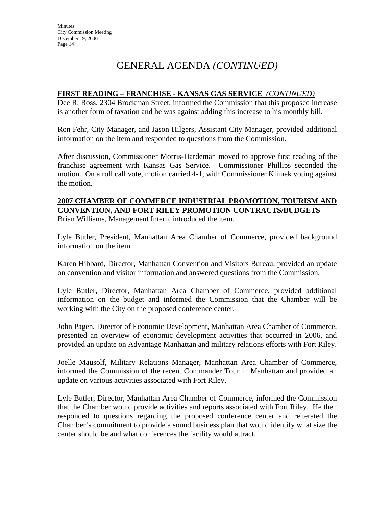# GENERAL AGENDA *(CONTINUED)*

### **FIRST READING – FRANCHISE - KANSAS GAS SERVICE** *(CONTINUED)*

Dee R. Ross, 2304 Brockman Street, informed the Commission that this proposed increase is another form of taxation and he was against adding this increase to his monthly bill.

Ron Fehr, City Manager, and Jason Hilgers, Assistant City Manager, provided additional information on the item and responded to questions from the Commission.

After discussion, Commissioner Morris-Hardeman moved to approve first reading of the franchise agreement with Kansas Gas Service. Commissioner Phillips seconded the motion. On a roll call vote, motion carried 4-1, with Commissioner Klimek voting against the motion.

# **2007 CHAMBER OF COMMERCE INDUSTRIAL PROMOTION, TOURISM AND CONVENTION, AND FORT RILEY PROMOTION CONTRACTS/BUDGETS**

Brian Williams, Management Intern, introduced the item.

Lyle Butler, President, Manhattan Area Chamber of Commerce, provided background information on the item.

Karen Hibbard, Director, Manhattan Convention and Visitors Bureau, provided an update on convention and visitor information and answered questions from the Commission.

Lyle Butler, Director, Manhattan Area Chamber of Commerce, provided additional information on the budget and informed the Commission that the Chamber will be working with the City on the proposed conference center.

John Pagen, Director of Economic Development, Manhattan Area Chamber of Commerce, presented an overview of economic development activities that occurred in 2006, and provided an update on Advantage Manhattan and military relations efforts with Fort Riley.

Joelle Mausolf, Military Relations Manager, Manhattan Area Chamber of Commerce, informed the Commission of the recent Commander Tour in Manhattan and provided an update on various activities associated with Fort Riley.

Lyle Butler, Director, Manhattan Area Chamber of Commerce, informed the Commission that the Chamber would provide activities and reports associated with Fort Riley. He then responded to questions regarding the proposed conference center and reiterated the Chamber's commitment to provide a sound business plan that would identify what size the center should be and what conferences the facility would attract.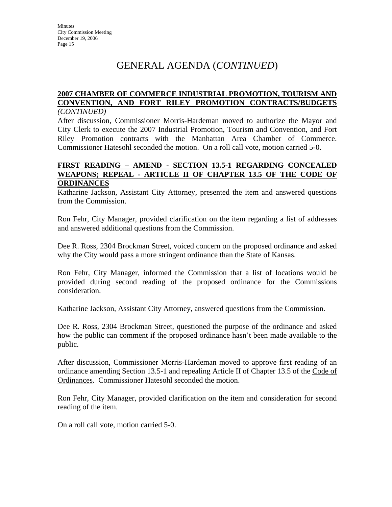# GENERAL AGENDA (*CONTINUED*)

# **2007 CHAMBER OF COMMERCE INDUSTRIAL PROMOTION, TOURISM AND CONVENTION, AND FORT RILEY PROMOTION CONTRACTS/BUDGETS**

*(CONTINUED)*

After discussion, Commissioner Morris-Hardeman moved to authorize the Mayor and City Clerk to execute the 2007 Industrial Promotion, Tourism and Convention, and Fort Riley Promotion contracts with the Manhattan Area Chamber of Commerce. Commissioner Hatesohl seconded the motion. On a roll call vote, motion carried 5-0.

### **FIRST READING – AMEND - SECTION 13.5-1 REGARDING CONCEALED WEAPONS; REPEAL - ARTICLE II OF CHAPTER 13.5 OF THE CODE OF ORDINANCES**

Katharine Jackson, Assistant City Attorney, presented the item and answered questions from the Commission.

Ron Fehr, City Manager, provided clarification on the item regarding a list of addresses and answered additional questions from the Commission.

Dee R. Ross, 2304 Brockman Street, voiced concern on the proposed ordinance and asked why the City would pass a more stringent ordinance than the State of Kansas.

Ron Fehr, City Manager, informed the Commission that a list of locations would be provided during second reading of the proposed ordinance for the Commissions consideration.

Katharine Jackson, Assistant City Attorney, answered questions from the Commission.

Dee R. Ross, 2304 Brockman Street, questioned the purpose of the ordinance and asked how the public can comment if the proposed ordinance hasn't been made available to the public.

After discussion, Commissioner Morris-Hardeman moved to approve first reading of an ordinance amending Section 13.5-1 and repealing Article II of Chapter 13.5 of the Code of Ordinances. Commissioner Hatesohl seconded the motion.

Ron Fehr, City Manager, provided clarification on the item and consideration for second reading of the item.

On a roll call vote, motion carried 5-0.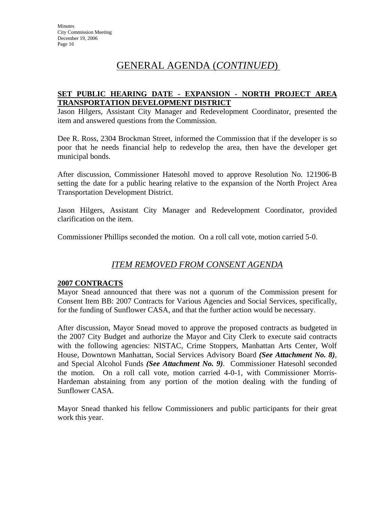# GENERAL AGENDA (*CONTINUED*)

# **SET PUBLIC HEARING DATE - EXPANSION - NORTH PROJECT AREA TRANSPORTATION DEVELOPMENT DISTRICT**

Jason Hilgers, Assistant City Manager and Redevelopment Coordinator, presented the item and answered questions from the Commission.

Dee R. Ross, 2304 Brockman Street, informed the Commission that if the developer is so poor that he needs financial help to redevelop the area, then have the developer get municipal bonds.

After discussion, Commissioner Hatesohl moved to approve Resolution No. 121906-B setting the date for a public hearing relative to the expansion of the North Project Area Transportation Development District.

Jason Hilgers, Assistant City Manager and Redevelopment Coordinator, provided clarification on the item.

Commissioner Phillips seconded the motion. On a roll call vote, motion carried 5-0.

# *ITEM REMOVED FROM CONSENT AGENDA*

# **2007 CONTRACTS**

Mayor Snead announced that there was not a quorum of the Commission present for Consent Item BB: 2007 Contracts for Various Agencies and Social Services, specifically, for the funding of Sunflower CASA, and that the further action would be necessary.

After discussion, Mayor Snead moved to approve the proposed contracts as budgeted in the 2007 City Budget and authorize the Mayor and City Clerk to execute said contracts with the following agencies: NISTAC, Crime Stoppers, Manhattan Arts Center, Wolf House, Downtown Manhattan, Social Services Advisory Board *(See Attachment No. 8)*, and Special Alcohol Funds *(See Attachment No. 9)*. Commissioner Hatesohl seconded the motion. On a roll call vote, motion carried 4-0-1, with Commissioner Morris-Hardeman abstaining from any portion of the motion dealing with the funding of Sunflower CASA.

Mayor Snead thanked his fellow Commissioners and public participants for their great work this year.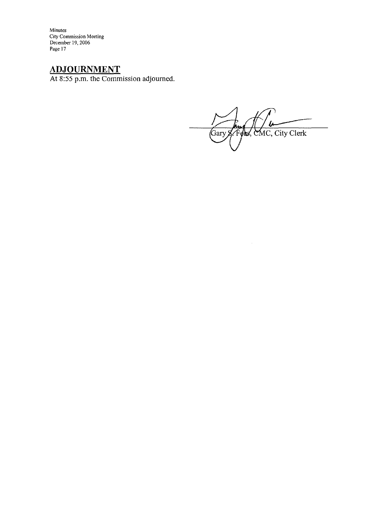Minutes<br>City Commission Meeting<br>December 19, 2006<br>Page 17

**ADJOURNMENT**<br>At 8:55 p.m. the Commission adjourned.

Gary & Fees, CMC, City Clerk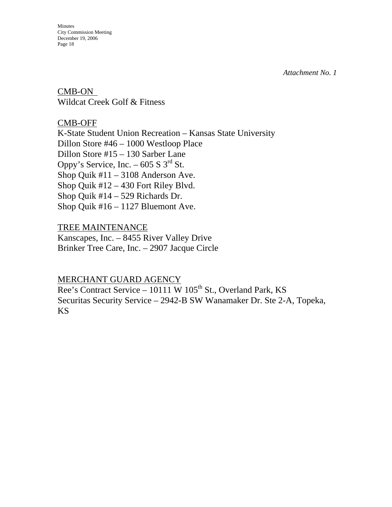*Attachment No. 1*

CMB-ON Wildcat Creek Golf & Fitness

CMB-OFF K-State Student Union Recreation – Kansas State University Dillon Store #46 – 1000 Westloop Place Dillon Store #15 – 130 Sarber Lane Oppy's Service, Inc. –  $605 S 3<sup>rd</sup> St.$ Shop Quik #11 – 3108 Anderson Ave. Shop Quik #12 – 430 Fort Riley Blvd. Shop Quik #14 – 529 Richards Dr. Shop Quik #16 – 1127 Bluemont Ave.

TREE MAINTENANCE Kanscapes, Inc. – 8455 River Valley Drive Brinker Tree Care, Inc. – 2907 Jacque Circle

MERCHANT GUARD AGENCY Ree's Contract Service – 10111 W  $105<sup>th</sup>$  St., Overland Park, KS

Securitas Security Service – 2942-B SW Wanamaker Dr. Ste 2-A, Topeka, KS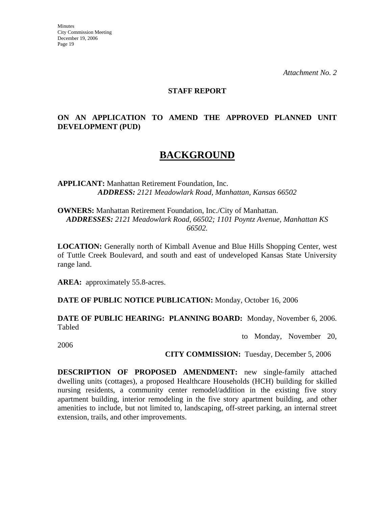*Attachment No. 2*

#### **STAFF REPORT**

# **ON AN APPLICATION TO AMEND THE APPROVED PLANNED UNIT DEVELOPMENT (PUD)**

# **BACKGROUND**

**APPLICANT:** Manhattan Retirement Foundation, Inc. *ADDRESS: 2121 Meadowlark Road, Manhattan, Kansas 66502*

**OWNERS:** Manhattan Retirement Foundation, Inc./City of Manhattan. *ADDRESSES: 2121 Meadowlark Road, 66502; 1101 Poyntz Avenue, Manhattan KS 66502.*

**LOCATION:** Generally north of Kimball Avenue and Blue Hills Shopping Center, west of Tuttle Creek Boulevard, and south and east of undeveloped Kansas State University range land.

**AREA:** approximately 55.8-acres.

**DATE OF PUBLIC NOTICE PUBLICATION:** Monday, October 16, 2006

**DATE OF PUBLIC HEARING: PLANNING BOARD:** Monday, November 6, 2006. Tabled

to Monday, November 20,

2006

**CITY COMMISSION:** Tuesday, December 5, 2006

**DESCRIPTION OF PROPOSED AMENDMENT:** new single-family attached dwelling units (cottages), a proposed Healthcare Households (HCH) building for skilled nursing residents, a community center remodel/addition in the existing five story apartment building, interior remodeling in the five story apartment building, and other amenities to include, but not limited to, landscaping, off-street parking, an internal street extension, trails, and other improvements.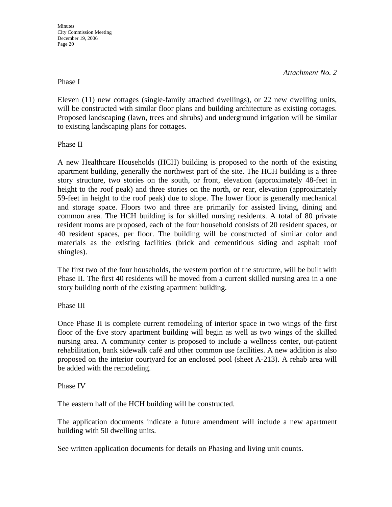#### *Attachment No. 2*

#### Phase I

Eleven (11) new cottages (single-family attached dwellings), or 22 new dwelling units, will be constructed with similar floor plans and building architecture as existing cottages. Proposed landscaping (lawn, trees and shrubs) and underground irrigation will be similar to existing landscaping plans for cottages.

Phase II

A new Healthcare Households (HCH) building is proposed to the north of the existing apartment building, generally the northwest part of the site. The HCH building is a three story structure, two stories on the south, or front, elevation (approximately 48-feet in height to the roof peak) and three stories on the north, or rear, elevation (approximately 59-feet in height to the roof peak) due to slope. The lower floor is generally mechanical and storage space. Floors two and three are primarily for assisted living, dining and common area. The HCH building is for skilled nursing residents. A total of 80 private resident rooms are proposed, each of the four household consists of 20 resident spaces, or 40 resident spaces, per floor. The building will be constructed of similar color and materials as the existing facilities (brick and cementitious siding and asphalt roof shingles).

The first two of the four households, the western portion of the structure, will be built with Phase II. The first 40 residents will be moved from a current skilled nursing area in a one story building north of the existing apartment building.

#### Phase III

Once Phase II is complete current remodeling of interior space in two wings of the first floor of the five story apartment building will begin as well as two wings of the skilled nursing area. A community center is proposed to include a wellness center, out-patient rehabilitation, bank sidewalk café and other common use facilities. A new addition is also proposed on the interior courtyard for an enclosed pool (sheet A-213). A rehab area will be added with the remodeling.

#### Phase IV

The eastern half of the HCH building will be constructed.

The application documents indicate a future amendment will include a new apartment building with 50 dwelling units.

See written application documents for details on Phasing and living unit counts.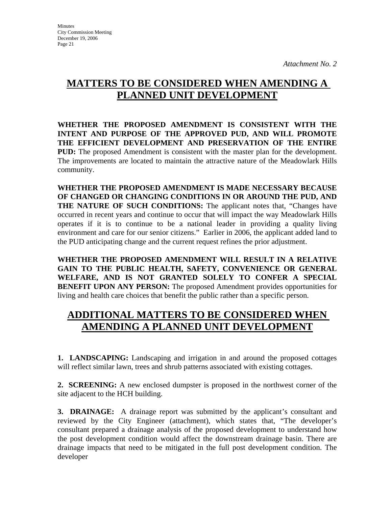# **MATTERS TO BE CONSIDERED WHEN AMENDING A PLANNED UNIT DEVELOPMENT**

**WHETHER THE PROPOSED AMENDMENT IS CONSISTENT WITH THE INTENT AND PURPOSE OF THE APPROVED PUD, AND WILL PROMOTE THE EFFICIENT DEVELOPMENT AND PRESERVATION OF THE ENTIRE PUD:** The proposed Amendment is consistent with the master plan for the development. The improvements are located to maintain the attractive nature of the Meadowlark Hills community.

**WHETHER THE PROPOSED AMENDMENT IS MADE NECESSARY BECAUSE OF CHANGED OR CHANGING CONDITIONS IN OR AROUND THE PUD, AND THE NATURE OF SUCH CONDITIONS:** The applicant notes that, "Changes have occurred in recent years and continue to occur that will impact the way Meadowlark Hills operates if it is to continue to be a national leader in providing a quality living environment and care for our senior citizens." Earlier in 2006, the applicant added land to the PUD anticipating change and the current request refines the prior adjustment.

**WHETHER THE PROPOSED AMENDMENT WILL RESULT IN A RELATIVE GAIN TO THE PUBLIC HEALTH, SAFETY, CONVENIENCE OR GENERAL WELFARE, AND IS NOT GRANTED SOLELY TO CONFER A SPECIAL BENEFIT UPON ANY PERSON:** The proposed Amendment provides opportunities for living and health care choices that benefit the public rather than a specific person.

# **ADDITIONAL MATTERS TO BE CONSIDERED WHEN AMENDING A PLANNED UNIT DEVELOPMENT**

**1. LANDSCAPING:** Landscaping and irrigation in and around the proposed cottages will reflect similar lawn, trees and shrub patterns associated with existing cottages.

**2. SCREENING:** A new enclosed dumpster is proposed in the northwest corner of the site adjacent to the HCH building.

**3. DRAINAGE:** A drainage report was submitted by the applicant's consultant and reviewed by the City Engineer (attachment), which states that, "The developer's consultant prepared a drainage analysis of the proposed development to understand how the post development condition would affect the downstream drainage basin. There are drainage impacts that need to be mitigated in the full post development condition. The developer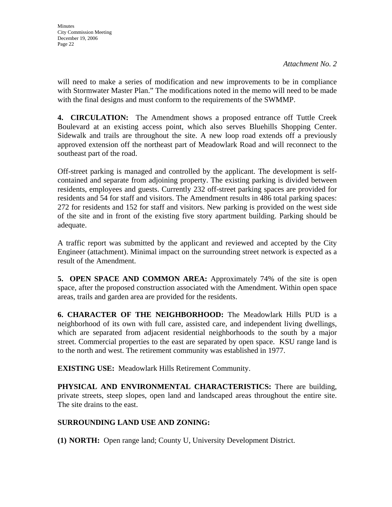will need to make a series of modification and new improvements to be in compliance with Stormwater Master Plan." The modifications noted in the memo will need to be made with the final designs and must conform to the requirements of the SWMMP.

**4. CIRCULATION:** The Amendment shows a proposed entrance off Tuttle Creek Boulevard at an existing access point, which also serves Bluehills Shopping Center. Sidewalk and trails are throughout the site. A new loop road extends off a previously approved extension off the northeast part of Meadowlark Road and will reconnect to the southeast part of the road.

Off-street parking is managed and controlled by the applicant. The development is selfcontained and separate from adjoining property. The existing parking is divided between residents, employees and guests. Currently 232 off-street parking spaces are provided for residents and 54 for staff and visitors. The Amendment results in 486 total parking spaces: 272 for residents and 152 for staff and visitors. New parking is provided on the west side of the site and in front of the existing five story apartment building. Parking should be adequate.

A traffic report was submitted by the applicant and reviewed and accepted by the City Engineer (attachment). Minimal impact on the surrounding street network is expected as a result of the Amendment.

**5. OPEN SPACE AND COMMON AREA:** Approximately 74% of the site is open space, after the proposed construction associated with the Amendment. Within open space areas, trails and garden area are provided for the residents.

**6. CHARACTER OF THE NEIGHBORHOOD:** The Meadowlark Hills PUD is a neighborhood of its own with full care, assisted care, and independent living dwellings, which are separated from adjacent residential neighborhoods to the south by a major street. Commercial properties to the east are separated by open space. KSU range land is to the north and west. The retirement community was established in 1977.

**EXISTING USE:** Meadowlark Hills Retirement Community.

**PHYSICAL AND ENVIRONMENTAL CHARACTERISTICS:** There are building, private streets, steep slopes, open land and landscaped areas throughout the entire site. The site drains to the east.

# **SURROUNDING LAND USE AND ZONING:**

**(1) NORTH:** Open range land; County U, University Development District.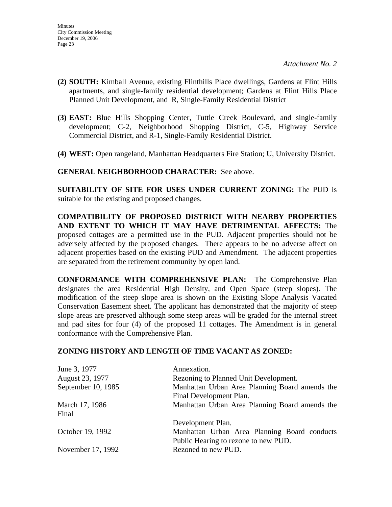- **(2) SOUTH:** Kimball Avenue, existing Flinthills Place dwellings, Gardens at Flint Hills apartments, and single-family residential development; Gardens at Flint Hills Place Planned Unit Development, and R, Single-Family Residential District
- **(3) EAST:** Blue Hills Shopping Center, Tuttle Creek Boulevard, and single-family development; C-2, Neighborhood Shopping District, C-5, Highway Service Commercial District, and R-1, Single-Family Residential District.
- **(4) WEST:** Open rangeland, Manhattan Headquarters Fire Station; U, University District.

**GENERAL NEIGHBORHOOD CHARACTER:** See above.

**SUITABILITY OF SITE FOR USES UNDER CURRENT ZONING:** The PUD is suitable for the existing and proposed changes.

**COMPATIBILITY OF PROPOSED DISTRICT WITH NEARBY PROPERTIES AND EXTENT TO WHICH IT MAY HAVE DETRIMENTAL AFFECTS:** The proposed cottages are a permitted use in the PUD. Adjacent properties should not be adversely affected by the proposed changes. There appears to be no adverse affect on adjacent properties based on the existing PUD and Amendment. The adjacent properties are separated from the retirement community by open land.

**CONFORMANCE WITH COMPREHENSIVE PLAN:** The Comprehensive Plan designates the area Residential High Density, and Open Space (steep slopes). The modification of the steep slope area is shown on the Existing Slope Analysis Vacated Conservation Easement sheet. The applicant has demonstrated that the majority of steep slope areas are preserved although some steep areas will be graded for the internal street and pad sites for four (4) of the proposed 11 cottages. The Amendment is in general conformance with the Comprehensive Plan.

# **ZONING HISTORY AND LENGTH OF TIME VACANT AS ZONED:**

| June 3, 1977       | Annexation.                                    |
|--------------------|------------------------------------------------|
| August 23, 1977    | Rezoning to Planned Unit Development.          |
| September 10, 1985 | Manhattan Urban Area Planning Board amends the |
|                    | Final Development Plan.                        |
| March 17, 1986     | Manhattan Urban Area Planning Board amends the |
| Final              |                                                |
|                    | Development Plan.                              |
| October 19, 1992   | Manhattan Urban Area Planning Board conducts   |
|                    | Public Hearing to rezone to new PUD.           |
| November 17, 1992  | Rezoned to new PUD.                            |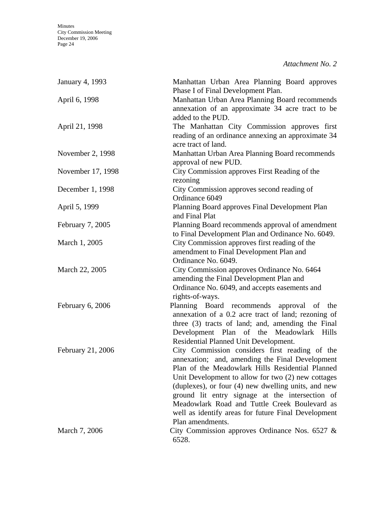|  |  | Attachment No. 2 |  |  |
|--|--|------------------|--|--|
|--|--|------------------|--|--|

| January 4, 1993   | Manhattan Urban Area Planning Board approves<br>Phase I of Final Development Plan.                                                                                                                                                                                                                                                                                                                                                                |
|-------------------|---------------------------------------------------------------------------------------------------------------------------------------------------------------------------------------------------------------------------------------------------------------------------------------------------------------------------------------------------------------------------------------------------------------------------------------------------|
| April 6, 1998     | Manhattan Urban Area Planning Board recommends<br>annexation of an approximate 34 acre tract to be<br>added to the PUD.                                                                                                                                                                                                                                                                                                                           |
| April 21, 1998    | The Manhattan City Commission approves first<br>reading of an ordinance annexing an approximate 34<br>acre tract of land.                                                                                                                                                                                                                                                                                                                         |
| November 2, 1998  | Manhattan Urban Area Planning Board recommends<br>approval of new PUD.                                                                                                                                                                                                                                                                                                                                                                            |
| November 17, 1998 | City Commission approves First Reading of the<br>rezoning                                                                                                                                                                                                                                                                                                                                                                                         |
| December 1, 1998  | City Commission approves second reading of<br>Ordinance 6049                                                                                                                                                                                                                                                                                                                                                                                      |
| April 5, 1999     | Planning Board approves Final Development Plan<br>and Final Plat                                                                                                                                                                                                                                                                                                                                                                                  |
| February 7, 2005  | Planning Board recommends approval of amendment<br>to Final Development Plan and Ordinance No. 6049.                                                                                                                                                                                                                                                                                                                                              |
| March 1, 2005     | City Commission approves first reading of the<br>amendment to Final Development Plan and<br>Ordinance No. 6049.                                                                                                                                                                                                                                                                                                                                   |
| March 22, 2005    | City Commission approves Ordinance No. 6464<br>amending the Final Development Plan and<br>Ordinance No. 6049, and accepts easements and<br>rights-of-ways.                                                                                                                                                                                                                                                                                        |
| February 6, 2006  | Planning Board recommends approval of the<br>annexation of a 0.2 acre tract of land; rezoning of<br>three (3) tracts of land; and, amending the Final<br>Development Plan of the Meadowlark Hills<br>Residential Planned Unit Development.                                                                                                                                                                                                        |
| February 21, 2006 | City Commission considers first reading of the<br>annexation; and, amending the Final Development<br>Plan of the Meadowlark Hills Residential Planned<br>Unit Development to allow for two (2) new cottages<br>(duplexes), or four (4) new dwelling units, and new<br>ground lit entry signage at the intersection of<br>Meadowlark Road and Tuttle Creek Boulevard as<br>well as identify areas for future Final Development<br>Plan amendments. |
| March 7, 2006     | City Commission approves Ordinance Nos. $6527 \&$<br>6528.                                                                                                                                                                                                                                                                                                                                                                                        |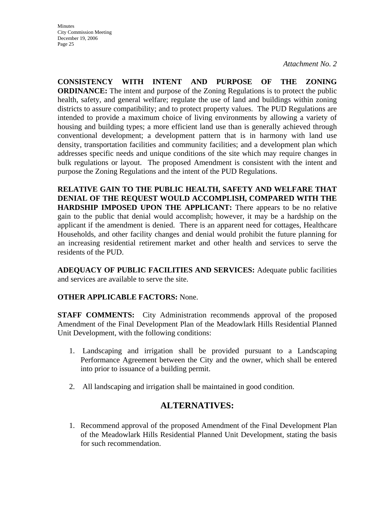**CONSISTENCY WITH INTENT AND PURPOSE OF THE ZONING ORDINANCE:** The intent and purpose of the Zoning Regulations is to protect the public health, safety, and general welfare; regulate the use of land and buildings within zoning districts to assure compatibility; and to protect property values. The PUD Regulations are intended to provide a maximum choice of living environments by allowing a variety of housing and building types; a more efficient land use than is generally achieved through conventional development; a development pattern that is in harmony with land use density, transportation facilities and community facilities; and a development plan which addresses specific needs and unique conditions of the site which may require changes in bulk regulations or layout. The proposed Amendment is consistent with the intent and purpose the Zoning Regulations and the intent of the PUD Regulations.

**RELATIVE GAIN TO THE PUBLIC HEALTH, SAFETY AND WELFARE THAT DENIAL OF THE REQUEST WOULD ACCOMPLISH, COMPARED WITH THE HARDSHIP IMPOSED UPON THE APPLICANT:** There appears to be no relative gain to the public that denial would accomplish; however, it may be a hardship on the applicant if the amendment is denied. There is an apparent need for cottages, Healthcare Households, and other facility changes and denial would prohibit the future planning for an increasing residential retirement market and other health and services to serve the residents of the PUD.

**ADEQUACY OF PUBLIC FACILITIES AND SERVICES:** Adequate public facilities and services are available to serve the site.

# **OTHER APPLICABLE FACTORS:** None.

**STAFF COMMENTS:** City Administration recommends approval of the proposed Amendment of the Final Development Plan of the Meadowlark Hills Residential Planned Unit Development, with the following conditions:

- 1. Landscaping and irrigation shall be provided pursuant to a Landscaping Performance Agreement between the City and the owner, which shall be entered into prior to issuance of a building permit.
- 2. All landscaping and irrigation shall be maintained in good condition.

# **ALTERNATIVES:**

1. Recommend approval of the proposed Amendment of the Final Development Plan of the Meadowlark Hills Residential Planned Unit Development, stating the basis for such recommendation.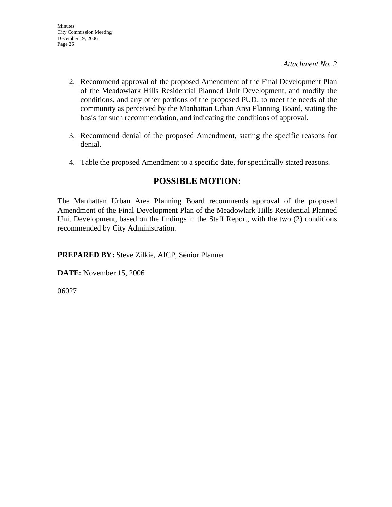- 2. Recommend approval of the proposed Amendment of the Final Development Plan of the Meadowlark Hills Residential Planned Unit Development, and modify the conditions, and any other portions of the proposed PUD, to meet the needs of the community as perceived by the Manhattan Urban Area Planning Board, stating the basis for such recommendation, and indicating the conditions of approval.
- 3. Recommend denial of the proposed Amendment, stating the specific reasons for denial.
- 4. Table the proposed Amendment to a specific date, for specifically stated reasons.

# **POSSIBLE MOTION:**

The Manhattan Urban Area Planning Board recommends approval of the proposed Amendment of the Final Development Plan of the Meadowlark Hills Residential Planned Unit Development, based on the findings in the Staff Report, with the two (2) conditions recommended by City Administration.

**PREPARED BY:** Steve Zilkie, AICP, Senior Planner

**DATE:** November 15, 2006

06027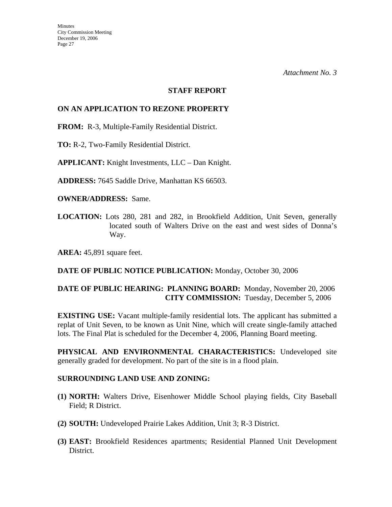#### **STAFF REPORT**

#### **ON AN APPLICATION TO REZONE PROPERTY**

**FROM:** R-3, Multiple-Family Residential District.

**TO:** R-2, Two-Family Residential District.

**APPLICANT:** Knight Investments, LLC – Dan Knight.

**ADDRESS:** 7645 Saddle Drive, Manhattan KS 66503.

**OWNER/ADDRESS:** Same.

**LOCATION:** Lots 280, 281 and 282, in Brookfield Addition, Unit Seven, generally located south of Walters Drive on the east and west sides of Donna's Way.

**AREA:** 45,891 square feet.

#### **DATE OF PUBLIC NOTICE PUBLICATION:** Monday, October 30, 2006

# **DATE OF PUBLIC HEARING: PLANNING BOARD:** Monday, November 20, 2006 **CITY COMMISSION:** Tuesday, December 5, 2006

**EXISTING USE:** Vacant multiple-family residential lots. The applicant has submitted a replat of Unit Seven, to be known as Unit Nine, which will create single-family attached lots. The Final Plat is scheduled for the December 4, 2006, Planning Board meeting.

**PHYSICAL AND ENVIRONMENTAL CHARACTERISTICS:** Undeveloped site generally graded for development. No part of the site is in a flood plain.

#### **SURROUNDING LAND USE AND ZONING:**

- **(1) NORTH:** Walters Drive, Eisenhower Middle School playing fields, City Baseball Field; R District.
- **(2) SOUTH:** Undeveloped Prairie Lakes Addition, Unit 3; R-3 District.
- **(3) EAST:** Brookfield Residences apartments; Residential Planned Unit Development District.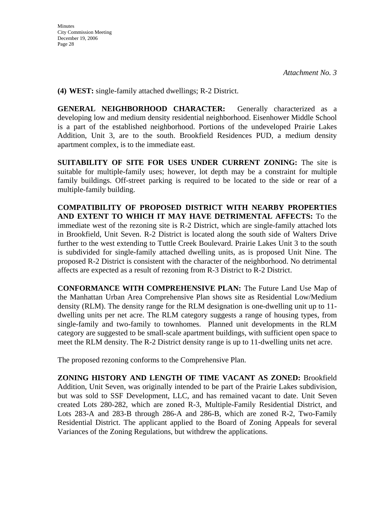**(4) WEST:** single-family attached dwellings; R-2 District.

**GENERAL NEIGHBORHOOD CHARACTER:** Generally characterized as a developing low and medium density residential neighborhood. Eisenhower Middle School is a part of the established neighborhood. Portions of the undeveloped Prairie Lakes Addition, Unit 3, are to the south. Brookfield Residences PUD, a medium density apartment complex, is to the immediate east.

**SUITABILITY OF SITE FOR USES UNDER CURRENT ZONING:** The site is suitable for multiple-family uses; however, lot depth may be a constraint for multiple family buildings. Off-street parking is required to be located to the side or rear of a multiple-family building.

**COMPATIBILITY OF PROPOSED DISTRICT WITH NEARBY PROPERTIES AND EXTENT TO WHICH IT MAY HAVE DETRIMENTAL AFFECTS:** To the immediate west of the rezoning site is R-2 District, which are single-family attached lots in Brookfield, Unit Seven. R-2 District is located along the south side of Walters Drive further to the west extending to Tuttle Creek Boulevard. Prairie Lakes Unit 3 to the south is subdivided for single-family attached dwelling units, as is proposed Unit Nine. The proposed R-2 District is consistent with the character of the neighborhood. No detrimental affects are expected as a result of rezoning from R-3 District to R-2 District.

**CONFORMANCE WITH COMPREHENSIVE PLAN:** The Future Land Use Map of the Manhattan Urban Area Comprehensive Plan shows site as Residential Low/Medium density (RLM). The density range for the RLM designation is one-dwelling unit up to 11 dwelling units per net acre. The RLM category suggests a range of housing types, from single-family and two-family to townhomes. Planned unit developments in the RLM category are suggested to be small-scale apartment buildings, with sufficient open space to meet the RLM density. The R-2 District density range is up to 11-dwelling units net acre.

The proposed rezoning conforms to the Comprehensive Plan.

**ZONING HISTORY AND LENGTH OF TIME VACANT AS ZONED:** Brookfield Addition, Unit Seven, was originally intended to be part of the Prairie Lakes subdivision, but was sold to SSF Development, LLC, and has remained vacant to date. Unit Seven created Lots 280-282, which are zoned R-3, Multiple-Family Residential District, and Lots 283-A and 283-B through 286-A and 286-B, which are zoned R-2, Two-Family Residential District. The applicant applied to the Board of Zoning Appeals for several Variances of the Zoning Regulations, but withdrew the applications.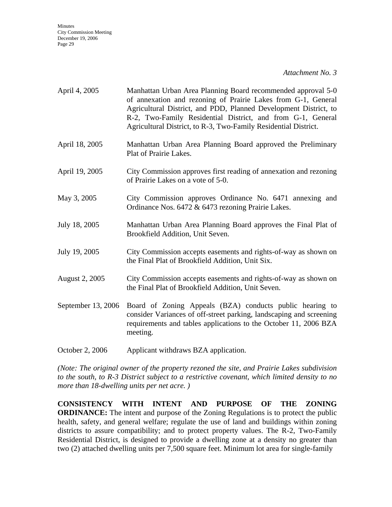*Attachment No. 3*

| April 4, 2005         | Manhattan Urban Area Planning Board recommended approval 5-0<br>of annexation and rezoning of Prairie Lakes from G-1, General<br>Agricultural District, and PDD, Planned Development District, to<br>R-2, Two-Family Residential District, and from G-1, General<br>Agricultural District, to R-3, Two-Family Residential District. |
|-----------------------|-------------------------------------------------------------------------------------------------------------------------------------------------------------------------------------------------------------------------------------------------------------------------------------------------------------------------------------|
| April 18, 2005        | Manhattan Urban Area Planning Board approved the Preliminary<br>Plat of Prairie Lakes.                                                                                                                                                                                                                                              |
| April 19, 2005        | City Commission approves first reading of annexation and rezoning<br>of Prairie Lakes on a vote of 5-0.                                                                                                                                                                                                                             |
| May 3, 2005           | City Commission approves Ordinance No. 6471 annexing and<br>Ordinance Nos. 6472 & 6473 rezoning Prairie Lakes.                                                                                                                                                                                                                      |
| July 18, 2005         | Manhattan Urban Area Planning Board approves the Final Plat of<br>Brookfield Addition, Unit Seven.                                                                                                                                                                                                                                  |
| July 19, 2005         | City Commission accepts easements and rights-of-way as shown on<br>the Final Plat of Brookfield Addition, Unit Six.                                                                                                                                                                                                                 |
| <b>August 2, 2005</b> | City Commission accepts easements and rights-of-way as shown on<br>the Final Plat of Brookfield Addition, Unit Seven.                                                                                                                                                                                                               |
| September 13, 2006    | Board of Zoning Appeals (BZA) conducts public hearing to<br>consider Variances of off-street parking, landscaping and screening<br>requirements and tables applications to the October 11, 2006 BZA<br>meeting.                                                                                                                     |

October 2, 2006 Applicant withdraws BZA application.

*(Note: The original owner of the property rezoned the site, and Prairie Lakes subdivision to the south, to R-3 District subject to a restrictive covenant, which limited density to no more than 18-dwelling units per net acre. )* 

**CONSISTENCY WITH INTENT AND PURPOSE OF THE ZONING ORDINANCE:** The intent and purpose of the Zoning Regulations is to protect the public health, safety, and general welfare; regulate the use of land and buildings within zoning districts to assure compatibility; and to protect property values. The R-2, Two-Family Residential District, is designed to provide a dwelling zone at a density no greater than two (2) attached dwelling units per 7,500 square feet. Minimum lot area for single-family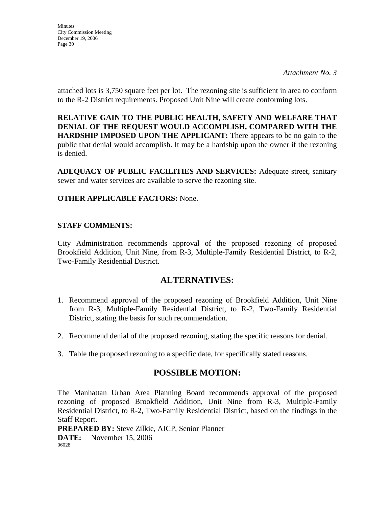*Attachment No. 3*

attached lots is 3,750 square feet per lot. The rezoning site is sufficient in area to conform to the R-2 District requirements. Proposed Unit Nine will create conforming lots.

**RELATIVE GAIN TO THE PUBLIC HEALTH, SAFETY AND WELFARE THAT DENIAL OF THE REQUEST WOULD ACCOMPLISH, COMPARED WITH THE HARDSHIP IMPOSED UPON THE APPLICANT:** There appears to be no gain to the public that denial would accomplish. It may be a hardship upon the owner if the rezoning is denied.

**ADEQUACY OF PUBLIC FACILITIES AND SERVICES:** Adequate street, sanitary sewer and water services are available to serve the rezoning site.

# **OTHER APPLICABLE FACTORS:** None.

# **STAFF COMMENTS:**

City Administration recommends approval of the proposed rezoning of proposed Brookfield Addition, Unit Nine, from R-3, Multiple-Family Residential District, to R-2, Two-Family Residential District.

# **ALTERNATIVES:**

- 1. Recommend approval of the proposed rezoning of Brookfield Addition, Unit Nine from R-3, Multiple-Family Residential District, to R-2, Two-Family Residential District, stating the basis for such recommendation.
- 2. Recommend denial of the proposed rezoning, stating the specific reasons for denial.
- 3. Table the proposed rezoning to a specific date, for specifically stated reasons.

# **POSSIBLE MOTION:**

The Manhattan Urban Area Planning Board recommends approval of the proposed rezoning of proposed Brookfield Addition, Unit Nine from R-3, Multiple-Family Residential District, to R-2, Two-Family Residential District, based on the findings in the Staff Report.

**PREPARED BY:** Steve Zilkie, AICP, Senior Planner

**DATE:** November 15, 2006 06028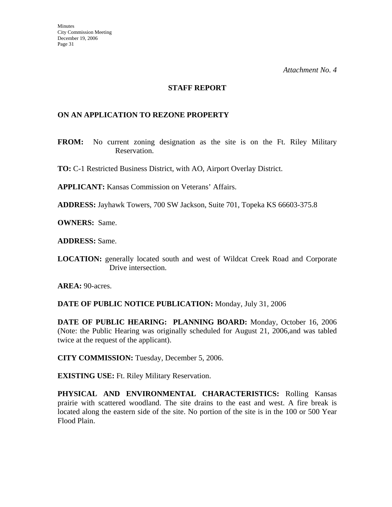#### **STAFF REPORT**

### **ON AN APPLICATION TO REZONE PROPERTY**

**FROM:** No current zoning designation as the site is on the Ft. Riley Military Reservation.

**TO:** C-1 Restricted Business District, with AO, Airport Overlay District.

**APPLICANT:** Kansas Commission on Veterans' Affairs.

**ADDRESS:** Jayhawk Towers, 700 SW Jackson, Suite 701, Topeka KS 66603-375.8

**OWNERS:** Same.

**ADDRESS:** Same.

**LOCATION:** generally located south and west of Wildcat Creek Road and Corporate Drive intersection.

**AREA:** 90-acres.

**DATE OF PUBLIC NOTICE PUBLICATION:** Monday, July 31, 2006

**DATE OF PUBLIC HEARING: PLANNING BOARD:** Monday, October 16, 2006 (Note: the Public Hearing was originally scheduled for August 21, 2006,and was tabled twice at the request of the applicant).

**CITY COMMISSION:** Tuesday, December 5, 2006.

**EXISTING USE:** Ft. Riley Military Reservation.

**PHYSICAL AND ENVIRONMENTAL CHARACTERISTICS:** Rolling Kansas prairie with scattered woodland. The site drains to the east and west. A fire break is located along the eastern side of the site. No portion of the site is in the 100 or 500 Year Flood Plain.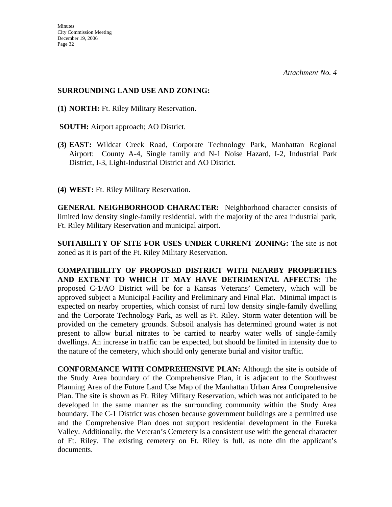### **SURROUNDING LAND USE AND ZONING:**

- **(1) NORTH:** Ft. Riley Military Reservation.
- **SOUTH:** Airport approach; AO District.
- **(3) EAST:** Wildcat Creek Road, Corporate Technology Park, Manhattan Regional Airport: County A-4, Single family and N-1 Noise Hazard, I-2, Industrial Park District, I-3, Light-Industrial District and AO District.
- **(4) WEST:** Ft. Riley Military Reservation.

**GENERAL NEIGHBORHOOD CHARACTER:** Neighborhood character consists of limited low density single-family residential, with the majority of the area industrial park, Ft. Riley Military Reservation and municipal airport.

**SUITABILITY OF SITE FOR USES UNDER CURRENT ZONING:** The site is not zoned as it is part of the Ft. Riley Military Reservation.

**COMPATIBILITY OF PROPOSED DISTRICT WITH NEARBY PROPERTIES AND EXTENT TO WHICH IT MAY HAVE DETRIMENTAL AFFECTS:** The proposed C-1/AO District will be for a Kansas Veterans' Cemetery, which will be approved subject a Municipal Facility and Preliminary and Final Plat. Minimal impact is expected on nearby properties, which consist of rural low density single-family dwelling and the Corporate Technology Park, as well as Ft. Riley. Storm water detention will be provided on the cemetery grounds. Subsoil analysis has determined ground water is not present to allow burial nitrates to be carried to nearby water wells of single-family dwellings. An increase in traffic can be expected, but should be limited in intensity due to the nature of the cemetery, which should only generate burial and visitor traffic.

**CONFORMANCE WITH COMPREHENSIVE PLAN:** Although the site is outside of the Study Area boundary of the Comprehensive Plan, it is adjacent to the Southwest Planning Area of the Future Land Use Map of the Manhattan Urban Area Comprehensive Plan. The site is shown as Ft. Riley Military Reservation, which was not anticipated to be developed in the same manner as the surrounding community within the Study Area boundary. The C-1 District was chosen because government buildings are a permitted use and the Comprehensive Plan does not support residential development in the Eureka Valley. Additionally, the Veteran's Cemetery is a consistent use with the general character of Ft. Riley. The existing cemetery on Ft. Riley is full, as note din the applicant's documents.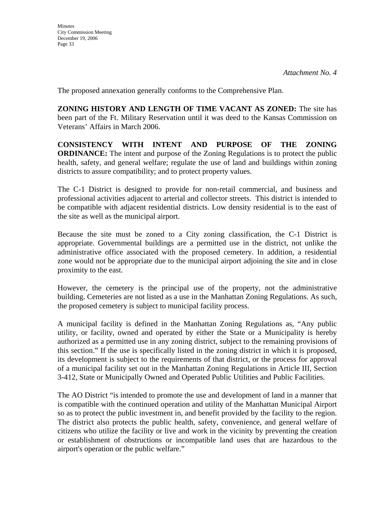The proposed annexation generally conforms to the Comprehensive Plan.

**ZONING HISTORY AND LENGTH OF TIME VACANT AS ZONED:** The site has been part of the Ft. Military Reservation until it was deed to the Kansas Commission on Veterans' Affairs in March 2006.

**CONSISTENCY WITH INTENT AND PURPOSE OF THE ZONING ORDINANCE:** The intent and purpose of the Zoning Regulations is to protect the public health, safety, and general welfare; regulate the use of land and buildings within zoning districts to assure compatibility; and to protect property values.

The C-1 District is designed to provide for non-retail commercial, and business and professional activities adjacent to arterial and collector streets. This district is intended to be compatible with adjacent residential districts. Low density residential is to the east of the site as well as the municipal airport.

Because the site must be zoned to a City zoning classification, the C-1 District is appropriate. Governmental buildings are a permitted use in the district, not unlike the administrative office associated with the proposed cemetery. In addition, a residential zone would not be appropriate due to the municipal airport adjoining the site and in close proximity to the east.

However, the cemetery is the principal use of the property, not the administrative building. Cemeteries are not listed as a use in the Manhattan Zoning Regulations. As such, the proposed cemetery is subject to municipal facility process.

A municipal facility is defined in the Manhattan Zoning Regulations as, "Any public utility, or facility, owned and operated by either the State or a Municipality is hereby authorized as a permitted use in any zoning district, subject to the remaining provisions of this section." If the use is specifically listed in the zoning district in which it is proposed, its development is subject to the requirements of that district, or the process for approval of a municipal facility set out in the Manhattan Zoning Regulations in Article III, Section 3-412, State or Municipally Owned and Operated Public Utilities and Public Facilities.

The AO District "is intended to promote the use and development of land in a manner that is compatible with the continued operation and utility of the Manhattan Municipal Airport so as to protect the public investment in, and benefit provided by the facility to the region. The district also protects the public health, safety, convenience, and general welfare of citizens who utilize the facility or live and work in the vicinity by preventing the creation or establishment of obstructions or incompatible land uses that are hazardous to the airport's operation or the public welfare."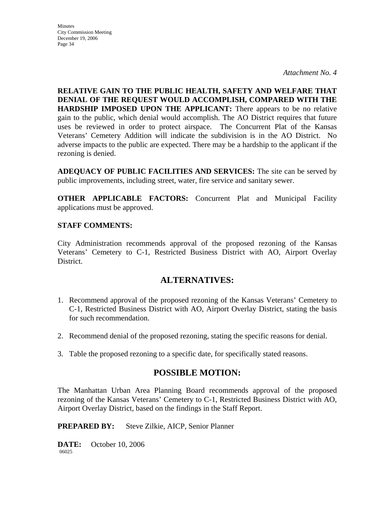*Attachment No. 4*

**RELATIVE GAIN TO THE PUBLIC HEALTH, SAFETY AND WELFARE THAT DENIAL OF THE REQUEST WOULD ACCOMPLISH, COMPARED WITH THE HARDSHIP IMPOSED UPON THE APPLICANT:** There appears to be no relative gain to the public, which denial would accomplish. The AO District requires that future uses be reviewed in order to protect airspace. The Concurrent Plat of the Kansas Veterans' Cemetery Addition will indicate the subdivision is in the AO District. No adverse impacts to the public are expected. There may be a hardship to the applicant if the rezoning is denied.

**ADEQUACY OF PUBLIC FACILITIES AND SERVICES:** The site can be served by public improvements, including street, water, fire service and sanitary sewer.

**OTHER APPLICABLE FACTORS:** Concurrent Plat and Municipal Facility applications must be approved.

# **STAFF COMMENTS:**

City Administration recommends approval of the proposed rezoning of the Kansas Veterans' Cemetery to C-1, Restricted Business District with AO, Airport Overlay District.

# **ALTERNATIVES:**

- 1. Recommend approval of the proposed rezoning of the Kansas Veterans' Cemetery to C-1, Restricted Business District with AO, Airport Overlay District, stating the basis for such recommendation.
- 2. Recommend denial of the proposed rezoning, stating the specific reasons for denial.
- 3. Table the proposed rezoning to a specific date, for specifically stated reasons.

# **POSSIBLE MOTION:**

The Manhattan Urban Area Planning Board recommends approval of the proposed rezoning of the Kansas Veterans' Cemetery to C-1, Restricted Business District with AO, Airport Overlay District, based on the findings in the Staff Report.

**PREPARED BY:** Steve Zilkie, AICP, Senior Planner

**DATE:** October 10, 2006 06025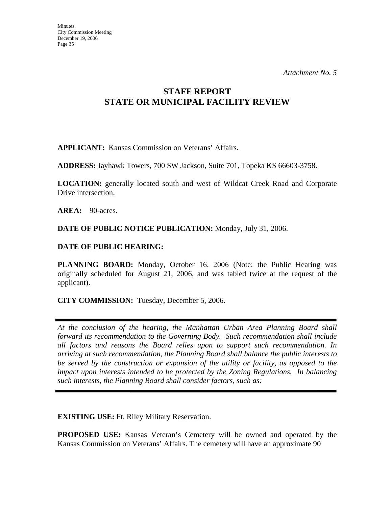# **STAFF REPORT STATE OR MUNICIPAL FACILITY REVIEW**

**APPLICANT:** Kansas Commission on Veterans' Affairs.

**ADDRESS:** Jayhawk Towers, 700 SW Jackson, Suite 701, Topeka KS 66603-3758.

**LOCATION:** generally located south and west of Wildcat Creek Road and Corporate Drive intersection.

AREA: 90-acres.

**DATE OF PUBLIC NOTICE PUBLICATION:** Monday, July 31, 2006.

# **DATE OF PUBLIC HEARING:**

**PLANNING BOARD:** Monday, October 16, 2006 (Note: the Public Hearing was originally scheduled for August 21, 2006, and was tabled twice at the request of the applicant).

**CITY COMMISSION:** Tuesday, December 5, 2006.

*At the conclusion of the hearing, the Manhattan Urban Area Planning Board shall forward its recommendation to the Governing Body. Such recommendation shall include all factors and reasons the Board relies upon to support such recommendation. In arriving at such recommendation, the Planning Board shall balance the public interests to be served by the construction or expansion of the utility or facility, as opposed to the impact upon interests intended to be protected by the Zoning Regulations. In balancing such interests, the Planning Board shall consider factors, such as:* 

**EXISTING USE:** Ft. Riley Military Reservation.

**PROPOSED USE:** Kansas Veteran's Cemetery will be owned and operated by the Kansas Commission on Veterans' Affairs. The cemetery will have an approximate 90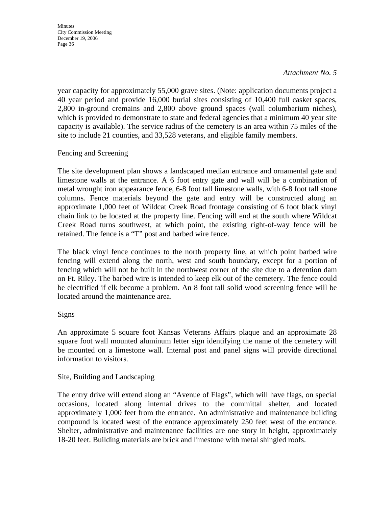### *Attachment No. 5*

year capacity for approximately 55,000 grave sites. (Note: application documents project a 40 year period and provide 16,000 burial sites consisting of 10,400 full casket spaces, 2,800 in-ground cremains and 2,800 above ground spaces (wall columbarium niches), which is provided to demonstrate to state and federal agencies that a minimum 40 year site capacity is available). The service radius of the cemetery is an area within 75 miles of the site to include 21 counties, and 33,528 veterans, and eligible family members.

# Fencing and Screening

The site development plan shows a landscaped median entrance and ornamental gate and limestone walls at the entrance. A 6 foot entry gate and wall will be a combination of metal wrought iron appearance fence, 6-8 foot tall limestone walls, with 6-8 foot tall stone columns. Fence materials beyond the gate and entry will be constructed along an approximate 1,000 feet of Wildcat Creek Road frontage consisting of 6 foot black vinyl chain link to be located at the property line. Fencing will end at the south where Wildcat Creek Road turns southwest, at which point, the existing right-of-way fence will be retained. The fence is a "T" post and barbed wire fence.

The black vinyl fence continues to the north property line, at which point barbed wire fencing will extend along the north, west and south boundary, except for a portion of fencing which will not be built in the northwest corner of the site due to a detention dam on Ft. Riley. The barbed wire is intended to keep elk out of the cemetery. The fence could be electrified if elk become a problem. An 8 foot tall solid wood screening fence will be located around the maintenance area.

# Signs

An approximate 5 square foot Kansas Veterans Affairs plaque and an approximate 28 square foot wall mounted aluminum letter sign identifying the name of the cemetery will be mounted on a limestone wall. Internal post and panel signs will provide directional information to visitors.

# Site, Building and Landscaping

The entry drive will extend along an "Avenue of Flags", which will have flags, on special occasions, located along internal drives to the committal shelter, and located approximately 1,000 feet from the entrance. An administrative and maintenance building compound is located west of the entrance approximately 250 feet west of the entrance. Shelter, administrative and maintenance facilities are one story in height, approximately 18-20 feet. Building materials are brick and limestone with metal shingled roofs.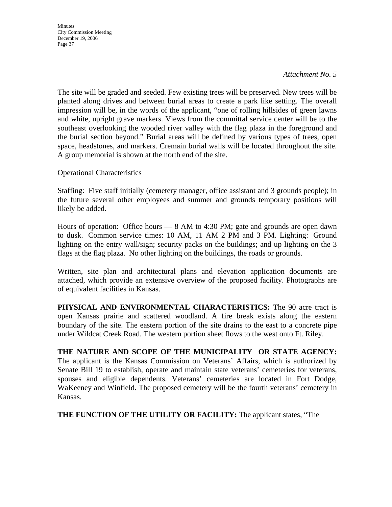*Attachment No. 5* 

The site will be graded and seeded. Few existing trees will be preserved. New trees will be planted along drives and between burial areas to create a park like setting. The overall impression will be, in the words of the applicant, "one of rolling hillsides of green lawns and white, upright grave markers. Views from the committal service center will be to the southeast overlooking the wooded river valley with the flag plaza in the foreground and the burial section beyond." Burial areas will be defined by various types of trees, open space, headstones, and markers. Cremain burial walls will be located throughout the site. A group memorial is shown at the north end of the site.

Operational Characteristics

Staffing: Five staff initially (cemetery manager, office assistant and 3 grounds people); in the future several other employees and summer and grounds temporary positions will likely be added.

Hours of operation: Office hours — 8 AM to 4:30 PM; gate and grounds are open dawn to dusk. Common service times: 10 AM, 11 AM 2 PM and 3 PM. Lighting: Ground lighting on the entry wall/sign; security packs on the buildings; and up lighting on the 3 flags at the flag plaza. No other lighting on the buildings, the roads or grounds.

Written, site plan and architectural plans and elevation application documents are attached, which provide an extensive overview of the proposed facility. Photographs are of equivalent facilities in Kansas.

**PHYSICAL AND ENVIRONMENTAL CHARACTERISTICS:** The 90 acre tract is open Kansas prairie and scattered woodland. A fire break exists along the eastern boundary of the site. The eastern portion of the site drains to the east to a concrete pipe under Wildcat Creek Road. The western portion sheet flows to the west onto Ft. Riley.

**THE NATURE AND SCOPE OF THE MUNICIPALITY OR STATE AGENCY:**  The applicant is the Kansas Commission on Veterans' Affairs, which is authorized by Senate Bill 19 to establish, operate and maintain state veterans' cemeteries for veterans, spouses and eligible dependents. Veterans' cemeteries are located in Fort Dodge, WaKeeney and Winfield. The proposed cemetery will be the fourth veterans' cemetery in Kansas.

**THE FUNCTION OF THE UTILITY OR FACILITY:** The applicant states, "The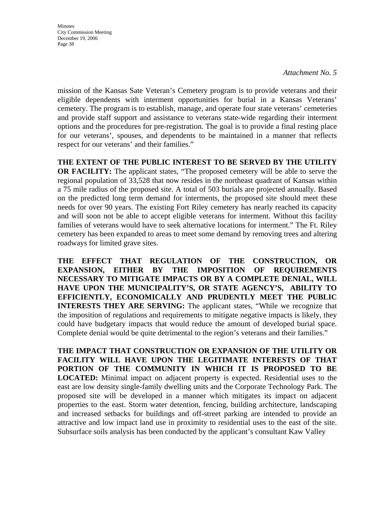*Attachment No. 5* 

mission of the Kansas Sate Veteran's Cemetery program is to provide veterans and their eligible dependents with interment opportunities for burial in a Kansas Veterans' cemetery. The program is to establish, manage, and operate four state veterans' cemeteries and provide staff support and assistance to veterans state-wide regarding their interment options and the procedures for pre-registration. The goal is to provide a final resting place for our veterans', spouses, and dependents to be maintained in a manner that reflects respect for our veterans' and their families."

**THE EXTENT OF THE PUBLIC INTEREST TO BE SERVED BY THE UTILITY OR FACILITY:** The applicant states, "The proposed cemetery will be able to serve the regional population of 33,528 that now resides in the northeast quadrant of Kansas within a 75 mile radius of the proposed site. A total of 503 burials are projected annually. Based on the predicted long term demand for interments, the proposed site should meet these needs for over 90 years. The existing Fort Riley cemetery has nearly reached its capacity and will soon not be able to accept eligible veterans for interment. Without this facility families of veterans would have to seek alternative locations for interment." The Ft. Riley cemetery has been expanded to areas to meet some demand by removing trees and altering roadways for limited grave sites.

**THE EFFECT THAT REGULATION OF THE CONSTRUCTION, OR EXPANSION, EITHER BY THE IMPOSITION OF REQUIREMENTS NECESSARY TO MITIGATE IMPACTS OR BY A COMPLETE DENIAL, WILL HAVE UPON THE MUNICIPALITY'S, OR STATE AGENCY'S, ABILITY TO EFFICIENTLY, ECONOMICALLY AND PRUDENTLY MEET THE PUBLIC INTERESTS THEY ARE SERVING:** The applicant states, "While we recognize that the imposition of regulations and requirements to mitigate negative impacts is likely, they could have budgetary impacts that would reduce the amount of developed burial space. Complete denial would be quite detrimental to the region's veterans and their families."

**THE IMPACT THAT CONSTRUCTION OR EXPANSION OF THE UTILITY OR FACILITY WILL HAVE UPON THE LEGITIMATE INTERESTS OF THAT PORTION OF THE COMMUNITY IN WHICH IT IS PROPOSED TO BE LOCATED:** Minimal impact on adjacent property is expected. Residential uses to the east are low density single-family dwelling units and the Corporate Technology Park. The proposed site will be developed in a manner which mitigates its impact on adjacent properties to the east. Storm water detention, fencing, building architecture, landscaping and increased setbacks for buildings and off-street parking are intended to provide an attractive and low impact land use in proximity to residential uses to the east of the site. Subsurface soils analysis has been conducted by the applicant's consultant Kaw Valley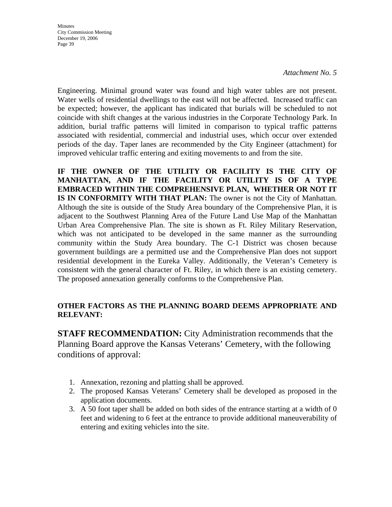*Attachment No. 5* 

Engineering. Minimal ground water was found and high water tables are not present. Water wells of residential dwellings to the east will not be affected. Increased traffic can be expected; however, the applicant has indicated that burials will be scheduled to not coincide with shift changes at the various industries in the Corporate Technology Park. In addition, burial traffic patterns will limited in comparison to typical traffic patterns associated with residential, commercial and industrial uses, which occur over extended periods of the day. Taper lanes are recommended by the City Engineer (attachment) for improved vehicular traffic entering and exiting movements to and from the site.

**IF THE OWNER OF THE UTILITY OR FACILITY IS THE CITY OF MANHATTAN, AND IF THE FACILITY OR UTILITY IS OF A TYPE EMBRACED WITHIN THE COMPREHENSIVE PLAN, WHETHER OR NOT IT IS IN CONFORMITY WITH THAT PLAN:** The owner is not the City of Manhattan. Although the site is outside of the Study Area boundary of the Comprehensive Plan, it is adjacent to the Southwest Planning Area of the Future Land Use Map of the Manhattan Urban Area Comprehensive Plan. The site is shown as Ft. Riley Military Reservation, which was not anticipated to be developed in the same manner as the surrounding community within the Study Area boundary. The C-1 District was chosen because government buildings are a permitted use and the Comprehensive Plan does not support residential development in the Eureka Valley. Additionally, the Veteran's Cemetery is consistent with the general character of Ft. Riley, in which there is an existing cemetery. The proposed annexation generally conforms to the Comprehensive Plan.

# **OTHER FACTORS AS THE PLANNING BOARD DEEMS APPROPRIATE AND RELEVANT:**

**STAFF RECOMMENDATION:** City Administration recommends that the Planning Board approve the Kansas Veterans' Cemetery, with the following conditions of approval:

- 1. Annexation, rezoning and platting shall be approved.
- 2. The proposed Kansas Veterans' Cemetery shall be developed as proposed in the application documents.
- 3. A 50 foot taper shall be added on both sides of the entrance starting at a width of 0 feet and widening to 6 feet at the entrance to provide additional maneuverability of entering and exiting vehicles into the site.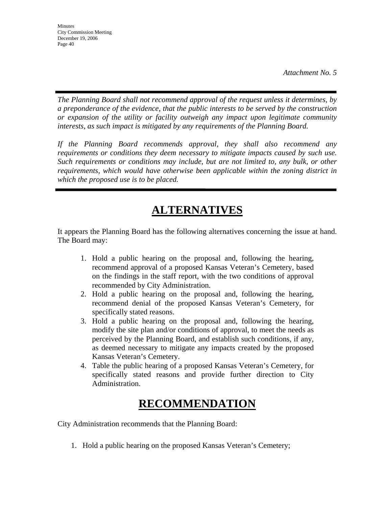*The Planning Board shall not recommend approval of the request unless it determines, by a preponderance of the evidence, that the public interests to be served by the construction or expansion of the utility or facility outweigh any impact upon legitimate community interests, as such impact is mitigated by any requirements of the Planning Board.* 

*If the Planning Board recommends approval, they shall also recommend any requirements or conditions they deem necessary to mitigate impacts caused by such use. Such requirements or conditions may include, but are not limited to, any bulk, or other requirements, which would have otherwise been applicable within the zoning district in which the proposed use is to be placed.* 

# **ALTERNATIVES**

It appears the Planning Board has the following alternatives concerning the issue at hand. The Board may:

- 1. Hold a public hearing on the proposal and, following the hearing, recommend approval of a proposed Kansas Veteran's Cemetery, based on the findings in the staff report, with the two conditions of approval recommended by City Administration.
- 2. Hold a public hearing on the proposal and, following the hearing, recommend denial of the proposed Kansas Veteran's Cemetery, for specifically stated reasons.
- 3. Hold a public hearing on the proposal and, following the hearing, modify the site plan and/or conditions of approval, to meet the needs as perceived by the Planning Board, and establish such conditions, if any, as deemed necessary to mitigate any impacts created by the proposed Kansas Veteran's Cemetery.
- 4. Table the public hearing of a proposed Kansas Veteran's Cemetery, for specifically stated reasons and provide further direction to City Administration.

# **RECOMMENDATION**

City Administration recommends that the Planning Board:

1. Hold a public hearing on the proposed Kansas Veteran's Cemetery;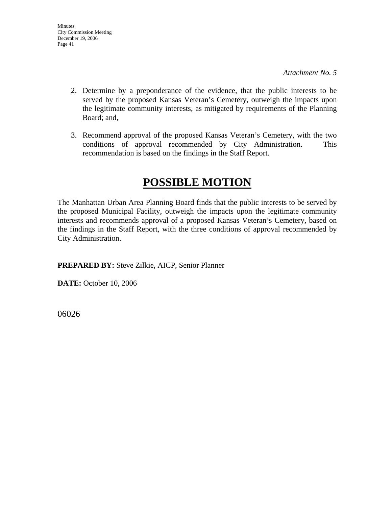*Attachment No. 5* 

- 2. Determine by a preponderance of the evidence, that the public interests to be served by the proposed Kansas Veteran's Cemetery, outweigh the impacts upon the legitimate community interests, as mitigated by requirements of the Planning Board; and,
- 3. Recommend approval of the proposed Kansas Veteran's Cemetery, with the two conditions of approval recommended by City Administration. This recommendation is based on the findings in the Staff Report.

# **POSSIBLE MOTION**

The Manhattan Urban Area Planning Board finds that the public interests to be served by the proposed Municipal Facility, outweigh the impacts upon the legitimate community interests and recommends approval of a proposed Kansas Veteran's Cemetery, based on the findings in the Staff Report, with the three conditions of approval recommended by City Administration.

**PREPARED BY:** Steve Zilkie, AICP, Senior Planner

**DATE:** October 10, 2006

06026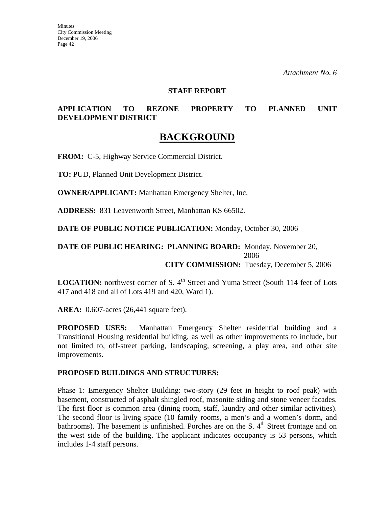#### **STAFF REPORT**

# **APPLICATION TO REZONE PROPERTY TO PLANNED UNIT DEVELOPMENT DISTRICT**

# **BACKGROUND**

**FROM:** C-5, Highway Service Commercial District.

**TO:** PUD, Planned Unit Development District.

**OWNER/APPLICANT:** Manhattan Emergency Shelter, Inc.

**ADDRESS:** 831 Leavenworth Street, Manhattan KS 66502.

**DATE OF PUBLIC NOTICE PUBLICATION:** Monday, October 30, 2006

### **DATE OF PUBLIC HEARING: PLANNING BOARD:** Monday, November 20, 2006 **CITY COMMISSION:** Tuesday, December 5, 2006

**LOCATION:** northwest corner of S. 4<sup>th</sup> Street and Yuma Street (South 114 feet of Lots 417 and 418 and all of Lots 419 and 420, Ward 1).

**AREA:** 0.607-acres (26,441 square feet).

**PROPOSED USES:** Manhattan Emergency Shelter residential building and a Transitional Housing residential building, as well as other improvements to include, but not limited to, off-street parking, landscaping, screening, a play area, and other site improvements.

#### **PROPOSED BUILDINGS AND STRUCTURES:**

Phase 1: Emergency Shelter Building: two-story (29 feet in height to roof peak) with basement, constructed of asphalt shingled roof, masonite siding and stone veneer facades. The first floor is common area (dining room, staff, laundry and other similar activities). The second floor is living space (10 family rooms, a men's and a women's dorm, and bathrooms). The basement is unfinished. Porches are on the S.  $4<sup>th</sup>$  Street frontage and on the west side of the building. The applicant indicates occupancy is 53 persons, which includes 1-4 staff persons.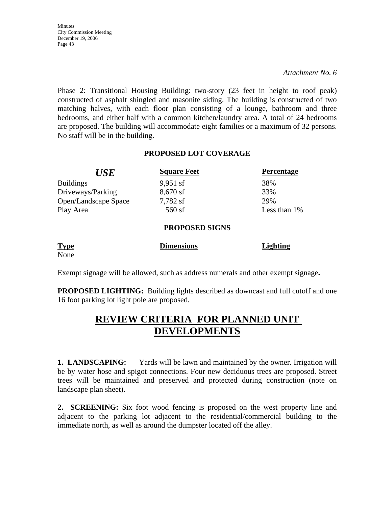*Attachment No. 6* 

Phase 2: Transitional Housing Building: two-story (23 feet in height to roof peak) constructed of asphalt shingled and masonite siding. The building is constructed of two matching halves, with each floor plan consisting of a lounge, bathroom and three bedrooms, and either half with a common kitchen/laundry area. A total of 24 bedrooms are proposed. The building will accommodate eight families or a maximum of 32 persons. No staff will be in the building.

# **PROPOSED LOT COVERAGE**

| <b>Square Feet</b> | <b>Percentage</b>     |
|--------------------|-----------------------|
| $9,951$ sf         | 38%                   |
| $8,670$ sf         | 33%                   |
| 7,782 sf           | 29%                   |
| $560$ sf           | Less than $1\%$       |
|                    |                       |
|                    | <b>PROPOSED SIGNS</b> |

| <b>Type</b> | <b>Dimensions</b> | Lighting |
|-------------|-------------------|----------|
| None        |                   |          |

Exempt signage will be allowed, such as address numerals and other exempt signage**.** 

**PROPOSED LIGHTING:** Building lights described as downcast and full cutoff and one 16 foot parking lot light pole are proposed.

# **REVIEW CRITERIA FOR PLANNED UNIT DEVELOPMENTS**

**1. LANDSCAPING:** Yards will be lawn and maintained by the owner. Irrigation will be by water hose and spigot connections. Four new deciduous trees are proposed. Street trees will be maintained and preserved and protected during construction (note on landscape plan sheet).

**2. SCREENING:** Six foot wood fencing is proposed on the west property line and adjacent to the parking lot adjacent to the residential/commercial building to the immediate north, as well as around the dumpster located off the alley.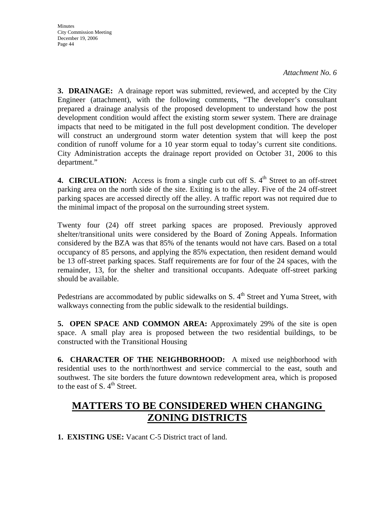*Attachment No. 6* 

**3. DRAINAGE:** A drainage report was submitted, reviewed, and accepted by the City Engineer (attachment), with the following comments, "The developer's consultant prepared a drainage analysis of the proposed development to understand how the post development condition would affect the existing storm sewer system. There are drainage impacts that need to be mitigated in the full post development condition. The developer will construct an underground storm water detention system that will keep the post condition of runoff volume for a 10 year storm equal to today's current site conditions. City Administration accepts the drainage report provided on October 31, 2006 to this department."

**4. CIRCULATION:** Access is from a single curb cut off S.  $4<sup>th</sup>$  Street to an off-street parking area on the north side of the site. Exiting is to the alley. Five of the 24 off-street parking spaces are accessed directly off the alley. A traffic report was not required due to the minimal impact of the proposal on the surrounding street system.

Twenty four (24) off street parking spaces are proposed. Previously approved shelter/transitional units were considered by the Board of Zoning Appeals. Information considered by the BZA was that 85% of the tenants would not have cars. Based on a total occupancy of 85 persons, and applying the 85% expectation, then resident demand would be 13 off-street parking spaces. Staff requirements are for four of the 24 spaces, with the remainder, 13, for the shelter and transitional occupants. Adequate off-street parking should be available.

Pedestrians are accommodated by public sidewalks on S.  $4<sup>th</sup>$  Street and Yuma Street, with walkways connecting from the public sidewalk to the residential buildings.

**5. OPEN SPACE AND COMMON AREA:** Approximately 29% of the site is open space. A small play area is proposed between the two residential buildings, to be constructed with the Transitional Housing

**6. CHARACTER OF THE NEIGHBORHOOD:** A mixed use neighborhood with residential uses to the north/northwest and service commercial to the east, south and southwest. The site borders the future downtown redevelopment area, which is proposed to the east of S.  $4<sup>th</sup>$  Street.

# **MATTERS TO BE CONSIDERED WHEN CHANGING ZONING DISTRICTS**

**1. EXISTING USE:** Vacant C-5 District tract of land.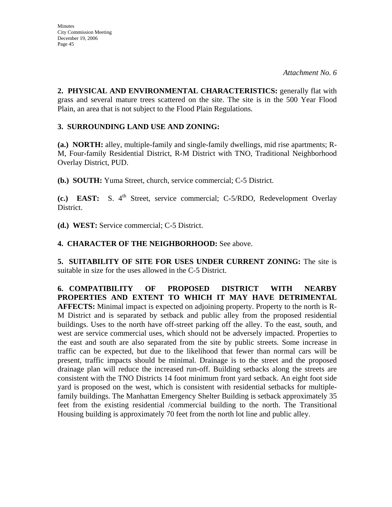**2. PHYSICAL AND ENVIRONMENTAL CHARACTERISTICS:** generally flat with grass and several mature trees scattered on the site. The site is in the 500 Year Flood Plain, an area that is not subject to the Flood Plain Regulations.

# **3. SURROUNDING LAND USE AND ZONING:**

**(a.) NORTH:** alley, multiple-family and single-family dwellings, mid rise apartments; R-M, Four-family Residential District, R-M District with TNO, Traditional Neighborhood Overlay District, PUD.

**(b.) SOUTH:** Yuma Street, church, service commercial; C-5 District.

**(c.) EAST:** S. 4<sup>th</sup> Street, service commercial; C-5/RDO, Redevelopment Overlay District.

**(d.) WEST:** Service commercial; C-5 District.

# **4. CHARACTER OF THE NEIGHBORHOOD:** See above.

**5. SUITABILITY OF SITE FOR USES UNDER CURRENT ZONING:** The site is suitable in size for the uses allowed in the C-5 District.

**6. COMPATIBILITY OF PROPOSED DISTRICT WITH NEARBY PROPERTIES AND EXTENT TO WHICH IT MAY HAVE DETRIMENTAL AFFECTS:** Minimal impact is expected on adjoining property. Property to the north is R-M District and is separated by setback and public alley from the proposed residential buildings. Uses to the north have off-street parking off the alley. To the east, south, and west are service commercial uses, which should not be adversely impacted. Properties to the east and south are also separated from the site by public streets. Some increase in traffic can be expected, but due to the likelihood that fewer than normal cars will be present, traffic impacts should be minimal. Drainage is to the street and the proposed drainage plan will reduce the increased run-off. Building setbacks along the streets are consistent with the TNO Districts 14 foot minimum front yard setback. An eight foot side yard is proposed on the west, which is consistent with residential setbacks for multiplefamily buildings. The Manhattan Emergency Shelter Building is setback approximately 35 feet from the existing residential /commercial building to the north. The Transitional Housing building is approximately 70 feet from the north lot line and public alley.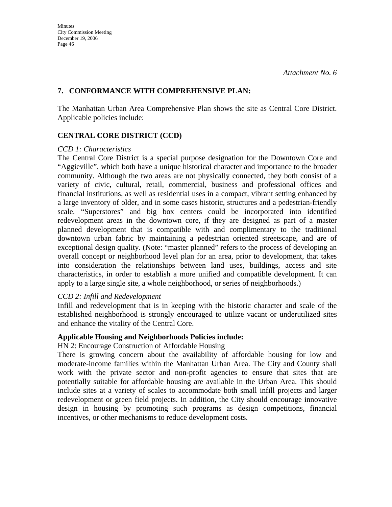### **7. CONFORMANCE WITH COMPREHENSIVE PLAN:**

The Manhattan Urban Area Comprehensive Plan shows the site as Central Core District. Applicable policies include:

# **CENTRAL CORE DISTRICT (CCD)**

#### *CCD 1: Characteristics*

The Central Core District is a special purpose designation for the Downtown Core and "Aggieville", which both have a unique historical character and importance to the broader community. Although the two areas are not physically connected, they both consist of a variety of civic, cultural, retail, commercial, business and professional offices and financial institutions, as well as residential uses in a compact, vibrant setting enhanced by a large inventory of older, and in some cases historic, structures and a pedestrian-friendly scale. "Superstores" and big box centers could be incorporated into identified redevelopment areas in the downtown core, if they are designed as part of a master planned development that is compatible with and complimentary to the traditional downtown urban fabric by maintaining a pedestrian oriented streetscape, and are of exceptional design quality. (Note: "master planned" refers to the process of developing an overall concept or neighborhood level plan for an area, prior to development, that takes into consideration the relationships between land uses, buildings, access and site characteristics, in order to establish a more unified and compatible development. It can apply to a large single site, a whole neighborhood, or series of neighborhoods.)

# *CCD 2: Infill and Redevelopment*

Infill and redevelopment that is in keeping with the historic character and scale of the established neighborhood is strongly encouraged to utilize vacant or underutilized sites and enhance the vitality of the Central Core.

#### **Applicable Housing and Neighborhoods Policies include:**

HN 2: Encourage Construction of Affordable Housing

There is growing concern about the availability of affordable housing for low and moderate-income families within the Manhattan Urban Area. The City and County shall work with the private sector and non-profit agencies to ensure that sites that are potentially suitable for affordable housing are available in the Urban Area. This should include sites at a variety of scales to accommodate both small infill projects and larger redevelopment or green field projects. In addition, the City should encourage innovative design in housing by promoting such programs as design competitions, financial incentives, or other mechanisms to reduce development costs.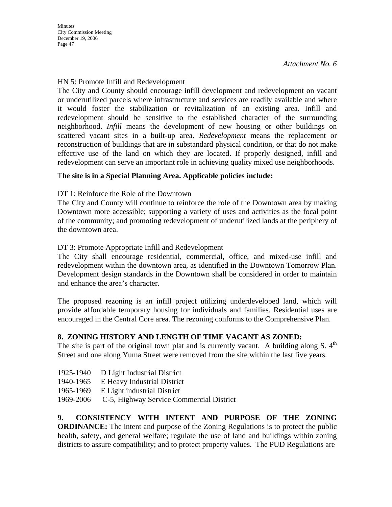### HN 5: Promote Infill and Redevelopment

The City and County should encourage infill development and redevelopment on vacant or underutilized parcels where infrastructure and services are readily available and where it would foster the stabilization or revitalization of an existing area. Infill and redevelopment should be sensitive to the established character of the surrounding neighborhood. *Infill* means the development of new housing or other buildings on scattered vacant sites in a built-up area. *Redevelopment* means the replacement or reconstruction of buildings that are in substandard physical condition, or that do not make effective use of the land on which they are located. If properly designed, infill and redevelopment can serve an important role in achieving quality mixed use neighborhoods.

### T**he site is in a Special Planning Area. Applicable policies include:**

DT 1: Reinforce the Role of the Downtown

The City and County will continue to reinforce the role of the Downtown area by making Downtown more accessible; supporting a variety of uses and activities as the focal point of the community; and promoting redevelopment of underutilized lands at the periphery of the downtown area.

DT 3: Promote Appropriate Infill and Redevelopment

The City shall encourage residential, commercial, office, and mixed-use infill and redevelopment within the downtown area, as identified in the Downtown Tomorrow Plan. Development design standards in the Downtown shall be considered in order to maintain and enhance the area's character.

The proposed rezoning is an infill project utilizing underdeveloped land, which will provide affordable temporary housing for individuals and families. Residential uses are encouraged in the Central Core area. The rezoning conforms to the Comprehensive Plan.

# **8. ZONING HISTORY AND LENGTH OF TIME VACANT AS ZONED:**

The site is part of the original town plat and is currently vacant. A building along S.  $4<sup>th</sup>$ Street and one along Yuma Street were removed from the site within the last five years.

- 1925-1940 D Light Industrial District
- 1940-1965 E Heavy Industrial District
- 1965-1969 E Light industrial District
- 1969-2006 C-5, Highway Service Commercial District

**9. CONSISTENCY WITH INTENT AND PURPOSE OF THE ZONING ORDINANCE:** The intent and purpose of the Zoning Regulations is to protect the public health, safety, and general welfare; regulate the use of land and buildings within zoning districts to assure compatibility; and to protect property values. The PUD Regulations are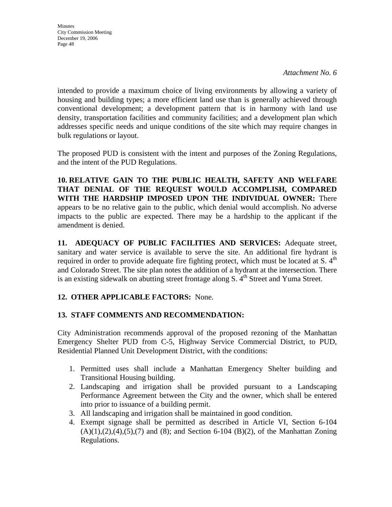**Minutes** City Commission Meeting December 19, 2006 Page 48

intended to provide a maximum choice of living environments by allowing a variety of housing and building types; a more efficient land use than is generally achieved through conventional development; a development pattern that is in harmony with land use density, transportation facilities and community facilities; and a development plan which addresses specific needs and unique conditions of the site which may require changes in bulk regulations or layout.

The proposed PUD is consistent with the intent and purposes of the Zoning Regulations, and the intent of the PUD Regulations.

**10. RELATIVE GAIN TO THE PUBLIC HEALTH, SAFETY AND WELFARE THAT DENIAL OF THE REQUEST WOULD ACCOMPLISH, COMPARED WITH THE HARDSHIP IMPOSED UPON THE INDIVIDUAL OWNER:** There appears to be no relative gain to the public, which denial would accomplish. No adverse impacts to the public are expected. There may be a hardship to the applicant if the amendment is denied.

**11. ADEQUACY OF PUBLIC FACILITIES AND SERVICES:** Adequate street, sanitary and water service is available to serve the site. An additional fire hydrant is required in order to provide adequate fire fighting protect, which must be located at S.  $4<sup>th</sup>$ and Colorado Street. The site plan notes the addition of a hydrant at the intersection. There is an existing sidewalk on abutting street frontage along  $S$ .  $4<sup>th</sup>$  Street and Yuma Street.

# **12. OTHER APPLICABLE FACTORS:** None.

# **13. STAFF COMMENTS AND RECOMMENDATION:**

City Administration recommends approval of the proposed rezoning of the Manhattan Emergency Shelter PUD from C-5, Highway Service Commercial District, to PUD, Residential Planned Unit Development District, with the conditions:

- 1. Permitted uses shall include a Manhattan Emergency Shelter building and Transitional Housing building.
- 2. Landscaping and irrigation shall be provided pursuant to a Landscaping Performance Agreement between the City and the owner, which shall be entered into prior to issuance of a building permit.
- 3. All landscaping and irrigation shall be maintained in good condition.
- 4. Exempt signage shall be permitted as described in Article VI, Section 6-104  $(A)(1),(2),(4),(5),(7)$  and  $(8)$ ; and Section 6-104  $(B)(2)$ , of the Manhattan Zoning Regulations.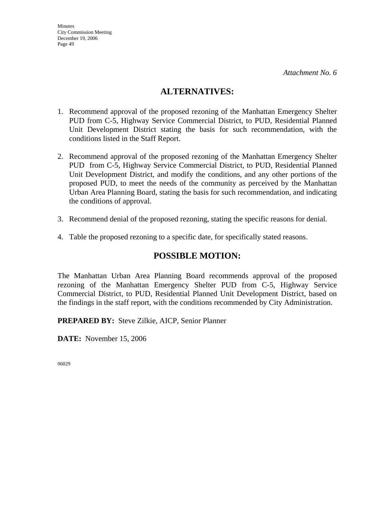# **ALTERNATIVES:**

- 1. Recommend approval of the proposed rezoning of the Manhattan Emergency Shelter PUD from C-5, Highway Service Commercial District, to PUD, Residential Planned Unit Development District stating the basis for such recommendation, with the conditions listed in the Staff Report.
- 2. Recommend approval of the proposed rezoning of the Manhattan Emergency Shelter PUD from C-5, Highway Service Commercial District, to PUD, Residential Planned Unit Development District, and modify the conditions, and any other portions of the proposed PUD, to meet the needs of the community as perceived by the Manhattan Urban Area Planning Board, stating the basis for such recommendation, and indicating the conditions of approval.
- 3. Recommend denial of the proposed rezoning, stating the specific reasons for denial.
- 4. Table the proposed rezoning to a specific date, for specifically stated reasons.

# **POSSIBLE MOTION:**

The Manhattan Urban Area Planning Board recommends approval of the proposed rezoning of the Manhattan Emergency Shelter PUD from C-5, Highway Service Commercial District, to PUD, Residential Planned Unit Development District, based on the findings in the staff report, with the conditions recommended by City Administration.

**PREPARED BY:** Steve Zilkie, AICP, Senior Planner

**DATE:** November 15, 2006

06029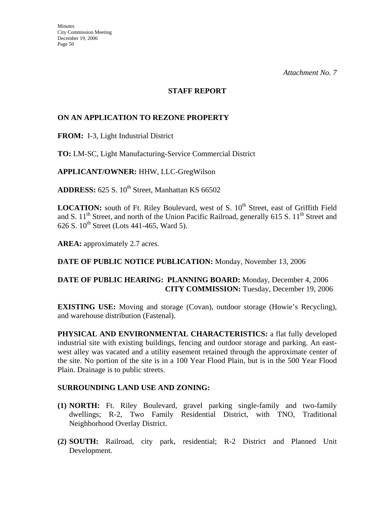#### **STAFF REPORT**

# **ON AN APPLICATION TO REZONE PROPERTY**

**FROM:** I-3, Light Industrial District

**TO:** LM-SC, Light Manufacturing-Service Commercial District

**APPLICANT/OWNER:** HHW, LLC-GregWilson

ADDRESS: 625 S. 10<sup>th</sup> Street, Manhattan KS 66502

**LOCATION:** south of Ft. Riley Boulevard, west of S. 10<sup>th</sup> Street, east of Griffith Field and S.  $11<sup>th</sup>$  Street, and north of the Union Pacific Railroad, generally 615 S.  $11<sup>th</sup>$  Street and 626 S.  $10^{th}$  Street (Lots 441-465, Ward 5).

**AREA:** approximately 2.7 acres.

# **DATE OF PUBLIC NOTICE PUBLICATION:** Monday, November 13, 2006

# **DATE OF PUBLIC HEARING: PLANNING BOARD:** Monday, December 4, 2006 **CITY COMMISSION:** Tuesday, December 19, 2006

**EXISTING USE:** Moving and storage (Covan), outdoor storage (Howie's Recycling), and warehouse distribution (Fastenal).

**PHYSICAL AND ENVIRONMENTAL CHARACTERISTICS:** a flat fully developed industrial site with existing buildings, fencing and outdoor storage and parking. An eastwest alley was vacated and a utility easement retained through the approximate center of the site. No portion of the site is in a 100 Year Flood Plain, but is in the 500 Year Flood Plain. Drainage is to public streets.

# **SURROUNDING LAND USE AND ZONING:**

- **(1) NORTH:** Ft. Riley Boulevard, gravel parking single-family and two-family dwellings; R-2, Two Family Residential District, with TNO, Traditional Neighborhood Overlay District.
- **(2) SOUTH:** Railroad, city park, residential; R-2 District and Planned Unit Development.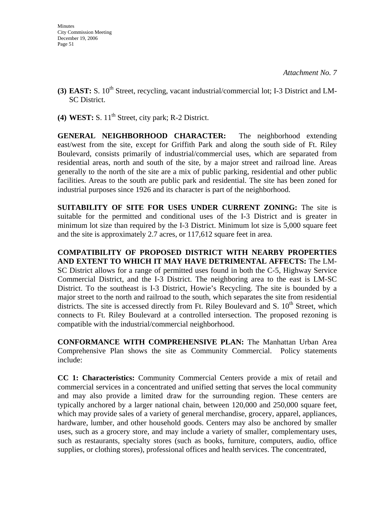- **(3) EAST:** S. 10<sup>th</sup> Street, recycling, vacant industrial/commercial lot; I-3 District and LM-SC District.
- **(4) WEST:** S.  $11<sup>th</sup>$  Street, city park; R-2 District.

**GENERAL NEIGHBORHOOD CHARACTER:** The neighborhood extending east/west from the site, except for Griffith Park and along the south side of Ft. Riley Boulevard, consists primarily of industrial/commercial uses, which are separated from residential areas, north and south of the site, by a major street and railroad line. Areas generally to the north of the site are a mix of public parking, residential and other public facilities. Areas to the south are public park and residential. The site has been zoned for industrial purposes since 1926 and its character is part of the neighborhood.

**SUITABILITY OF SITE FOR USES UNDER CURRENT ZONING:** The site is suitable for the permitted and conditional uses of the I-3 District and is greater in minimum lot size than required by the I-3 District. Minimum lot size is 5,000 square feet and the site is approximately 2.7 acres, or 117,612 square feet in area.

**COMPATIBILITY OF PROPOSED DISTRICT WITH NEARBY PROPERTIES AND EXTENT TO WHICH IT MAY HAVE DETRIMENTAL AFFECTS:** The LM-SC District allows for a range of permitted uses found in both the C-5, Highway Service Commercial District, and the I-3 District. The neighboring area to the east is LM-SC District. To the southeast is I-3 District, Howie's Recycling. The site is bounded by a major street to the north and railroad to the south, which separates the site from residential districts. The site is accessed directly from Ft. Riley Boulevard and S.  $10^{th}$  Street, which connects to Ft. Riley Boulevard at a controlled intersection. The proposed rezoning is compatible with the industrial/commercial neighborhood.

**CONFORMANCE WITH COMPREHENSIVE PLAN:** The Manhattan Urban Area Comprehensive Plan shows the site as Community Commercial. Policy statements include:

**CC 1: Characteristics:** Community Commercial Centers provide a mix of retail and commercial services in a concentrated and unified setting that serves the local community and may also provide a limited draw for the surrounding region. These centers are typically anchored by a larger national chain, between 120,000 and 250,000 square feet, which may provide sales of a variety of general merchandise, grocery, apparel, appliances, hardware, lumber, and other household goods. Centers may also be anchored by smaller uses, such as a grocery store, and may include a variety of smaller, complementary uses, such as restaurants, specialty stores (such as books, furniture, computers, audio, office supplies, or clothing stores), professional offices and health services. The concentrated,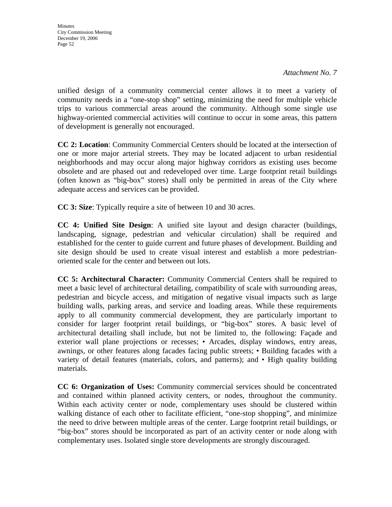*Attachment No. 7* 

unified design of a community commercial center allows it to meet a variety of community needs in a "one-stop shop" setting, minimizing the need for multiple vehicle trips to various commercial areas around the community. Although some single use highway-oriented commercial activities will continue to occur in some areas, this pattern of development is generally not encouraged.

**CC 2: Location**: Community Commercial Centers should be located at the intersection of one or more major arterial streets. They may be located adjacent to urban residential neighborhoods and may occur along major highway corridors as existing uses become obsolete and are phased out and redeveloped over time. Large footprint retail buildings (often known as "big-box" stores) shall only be permitted in areas of the City where adequate access and services can be provided.

**CC 3: Size**: Typically require a site of between 10 and 30 acres.

**CC 4: Unified Site Design**: A unified site layout and design character (buildings, landscaping, signage, pedestrian and vehicular circulation) shall be required and established for the center to guide current and future phases of development. Building and site design should be used to create visual interest and establish a more pedestrianoriented scale for the center and between out lots.

**CC 5: Architectural Character:** Community Commercial Centers shall be required to meet a basic level of architectural detailing, compatibility of scale with surrounding areas, pedestrian and bicycle access, and mitigation of negative visual impacts such as large building walls, parking areas, and service and loading areas. While these requirements apply to all community commercial development, they are particularly important to consider for larger footprint retail buildings, or "big-box" stores. A basic level of architectural detailing shall include, but not be limited to, the following: Façade and exterior wall plane projections or recesses; • Arcades, display windows, entry areas, awnings, or other features along facades facing public streets; • Building facades with a variety of detail features (materials, colors, and patterns); and • High quality building materials.

**CC 6: Organization of Uses:** Community commercial services should be concentrated and contained within planned activity centers, or nodes, throughout the community. Within each activity center or node, complementary uses should be clustered within walking distance of each other to facilitate efficient, "one-stop shopping", and minimize the need to drive between multiple areas of the center. Large footprint retail buildings, or "big-box" stores should be incorporated as part of an activity center or node along with complementary uses. Isolated single store developments are strongly discouraged.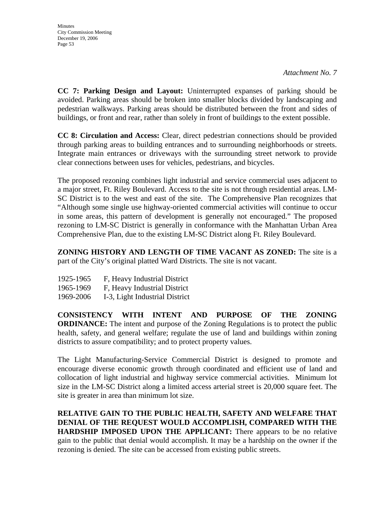*Attachment No. 7* 

**CC 7: Parking Design and Layout:** Uninterrupted expanses of parking should be avoided. Parking areas should be broken into smaller blocks divided by landscaping and pedestrian walkways. Parking areas should be distributed between the front and sides of buildings, or front and rear, rather than solely in front of buildings to the extent possible.

**CC 8: Circulation and Access:** Clear, direct pedestrian connections should be provided through parking areas to building entrances and to surrounding neighborhoods or streets. Integrate main entrances or driveways with the surrounding street network to provide clear connections between uses for vehicles, pedestrians, and bicycles.

The proposed rezoning combines light industrial and service commercial uses adjacent to a major street, Ft. Riley Boulevard. Access to the site is not through residential areas. LM-SC District is to the west and east of the site. The Comprehensive Plan recognizes that "Although some single use highway-oriented commercial activities will continue to occur in some areas, this pattern of development is generally not encouraged." The proposed rezoning to LM-SC District is generally in conformance with the Manhattan Urban Area Comprehensive Plan, due to the existing LM-SC District along Ft. Riley Boulevard.

**ZONING HISTORY AND LENGTH OF TIME VACANT AS ZONED:** The site is a part of the City's original platted Ward Districts. The site is not vacant.

| 1925-1965 | F, Heavy Industrial District |
|-----------|------------------------------|
| 1965-1969 | F, Heavy Industrial District |

1969-2006 I-3, Light Industrial District

**CONSISTENCY WITH INTENT AND PURPOSE OF THE ZONING ORDINANCE:** The intent and purpose of the Zoning Regulations is to protect the public health, safety, and general welfare; regulate the use of land and buildings within zoning districts to assure compatibility; and to protect property values.

The Light Manufacturing-Service Commercial District is designed to promote and encourage diverse economic growth through coordinated and efficient use of land and collocation of light industrial and highway service commercial activities. Minimum lot size in the LM-SC District along a limited access arterial street is 20,000 square feet. The site is greater in area than minimum lot size.

**RELATIVE GAIN TO THE PUBLIC HEALTH, SAFETY AND WELFARE THAT DENIAL OF THE REQUEST WOULD ACCOMPLISH, COMPARED WITH THE HARDSHIP IMPOSED UPON THE APPLICANT:** There appears to be no relative gain to the public that denial would accomplish. It may be a hardship on the owner if the rezoning is denied. The site can be accessed from existing public streets.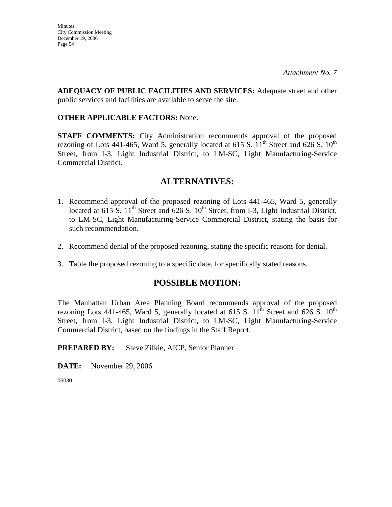**ADEQUACY OF PUBLIC FACILITIES AND SERVICES:** Adequate street and other public services and facilities are available to serve the site.

# **OTHER APPLICABLE FACTORS:** None.

**STAFF COMMENTS:** City Administration recommends approval of the proposed rezoning of Lots 441-465, Ward 5, generally located at 615 S.  $11<sup>th</sup>$  Street and 626 S.  $10<sup>th</sup>$ Street, from I-3, Light Industrial District, to LM-SC, Light Manufacturing-Service Commercial District.

# **ALTERNATIVES:**

- 1. Recommend approval of the proposed rezoning of Lots 441-465, Ward 5, generally located at 615 S.  $11<sup>th</sup>$  Street and 626 S.  $10<sup>th</sup>$  Street, from I-3, Light Industrial District, to LM-SC, Light Manufacturing-Service Commercial District, stating the basis for such recommendation.
- 2. Recommend denial of the proposed rezoning, stating the specific reasons for denial.
- 3. Table the proposed rezoning to a specific date, for specifically stated reasons.

# **POSSIBLE MOTION:**

The Manhattan Urban Area Planning Board recommends approval of the proposed rezoning Lots 441-465, Ward 5, generally located at 615 S.  $11<sup>th</sup>$  Street and 626 S.  $10<sup>th</sup>$ Street, from I-3, Light Industrial District, to LM-SC, Light Manufacturing-Service Commercial District, based on the findings in the Staff Report.

# **PREPARED BY:** Steve Zilkie, AICP, Senior Planner

**DATE:** November 29, 2006

06030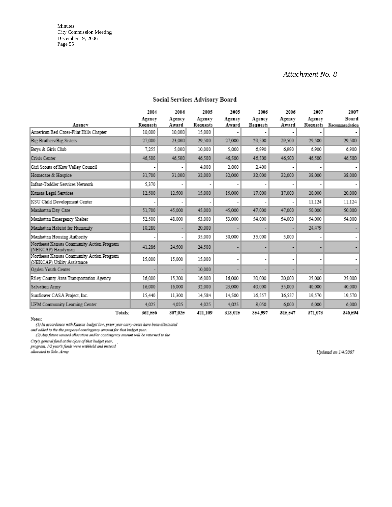#### *Attachment No. 8*

|                                                                          | 2004                     | 2004            | 2005               | 2005            | 2006                      | 2006            | 2007               | 2007                    |
|--------------------------------------------------------------------------|--------------------------|-----------------|--------------------|-----------------|---------------------------|-----------------|--------------------|-------------------------|
| Agency                                                                   | Agency<br>Requests       | Agency<br>Award | Agency<br>Requests | Agency<br>Award | Agency<br><b>Requests</b> | Agency<br>Award | Agency<br>Requests | Board<br>Recommendation |
| American Red Cross-Flint Hills Chapter                                   | 10.000                   | 10.000          | 15,000             |                 |                           |                 |                    |                         |
| Big Brothers/Big Sisters                                                 | 27.000                   | 23,000          | 29,500             | 27,000          | 29.500                    | 29,500          | 29.500             | 29,500                  |
| Bovs & Girls Club                                                        | 7.255                    | 5.000           | 10,000             | 5,000           | 6,990                     | 6,990           | 6,900              | 6,900                   |
| Crisis Center                                                            | 46.500                   | 46.500          | 46,500             | 46,500          | 46.500                    | 46,500          | 46,500             | 46,500                  |
| Girl Scouts of Kaw Valley Council                                        | $\overline{\phantom{a}}$ |                 | 4.000              | 2,000           | 2.400                     |                 |                    |                         |
| Homecare & Hospice                                                       | 31.700                   | 31,000          | 32,000             | 32,000          | 32.000                    | 32,000          | 38,000             | 38,000                  |
| Infant-Toddler Services Network                                          | 5.370                    |                 |                    |                 |                           |                 |                    |                         |
| Kansas Legal Services                                                    | 12,500                   | 12,500          | 15,000             | 15,000          | 17.000                    | 17,000          | 20,000             | 20,000                  |
| KSU Child Development Center                                             |                          |                 |                    |                 |                           |                 | 11.124             | 11.124                  |
| Manhattan Day Care                                                       | 51.700                   | 45,000          | 45,000             | 45,000          | 47.000                    | 47,000          | 50,000             | 50,000                  |
| Manhattan Emergency Shelter                                              | 52.500                   | 48.000          | 53,000             | 53,000          | 54.000                    | 54.000          | 54.000             | 54.000                  |
| Manhattan Habitat for Humanity                                           | 10.280                   |                 | 20,000             |                 |                           |                 | 24.479             |                         |
| Manhattan Housing Authority                                              | ٠                        | ٠               | 35,000             | 30,000          | 35,000                    | 5.000           |                    |                         |
| Northeast Kansas Community Action Program<br>(NEKCAP) Handyman           | 41.286                   | 24,500          | 24,500             |                 |                           |                 |                    |                         |
| Northeast Kansas Community Action Program<br>(NEKCAP) Utility Assistance | 15,000                   | 15,000          | 15,000             |                 |                           |                 |                    |                         |
| Ogden Youth Center                                                       |                          |                 | 10,000             |                 |                           |                 |                    |                         |
| Riley County Area Transportation Agency                                  | 16.000                   | 15,200          | 16,000             | 16,000          | 20.000                    | 20,000          | 25,000             | 25,000                  |
| Salvation Army                                                           | 16.000                   | 16,000          | 32,000             | 23,000          | 40,000                    | 35,000          | 40,000             | 40,000                  |
| Sunflower CASA Project, Inc.                                             | 15.440                   | 11.300          | 14,584             | 14.500          | 16.557                    | 16,557          | 19.570             | 19,570                  |
| UFM Community Learning Center                                            | 4.025                    | 4.025           | 4.025              | 4.025           | 8.050                     | 6,000           | 6,000              | 6,000                   |
| Totals:                                                                  | 362,556                  | 307,025         | 421.109            | 313.025         | 354,997                   | 315,547         | 371.073            | 346.594                 |

### Social Services Advisory Board

Notes:

(1) In accordance with Kansas budget law, prior year carry-overs have been eliminated<br>and added to the the proposed contingency amount for that budget year.<br>(2) Any future unused allocation and/or contingency amount will b

City's general fund at the close of that budget year.<br>program, 1/2 year's funds were withheld and instead<br>allocated to Salv. Army

Updated on 1/4/2007